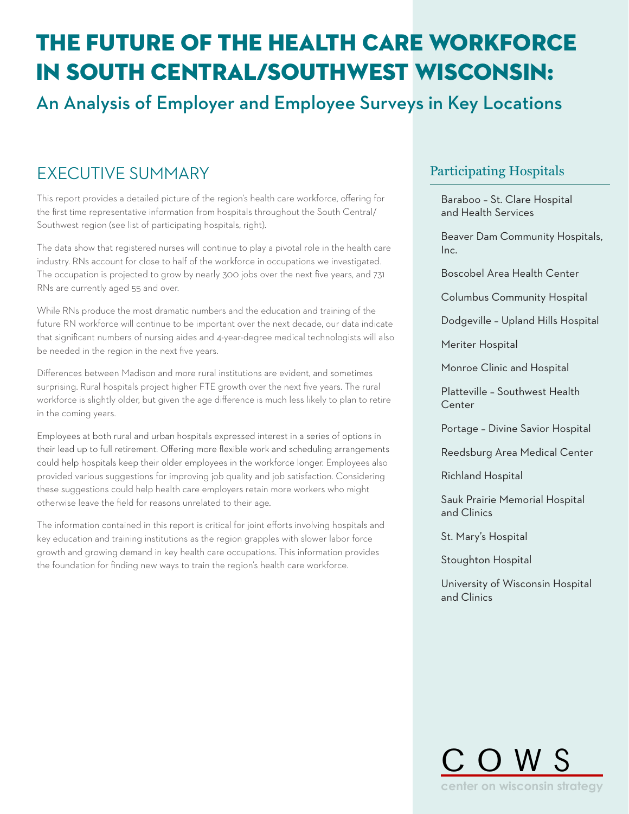# THE FUTURE OF THE HEALTH CARE WORKFORCE in south central/southwest wisconsin:

## An Analysis of Employer and Employee Surveys in Key Locations

## EXECUTIVE SUMMARY **EXECUTIVE PARTICIPATION**

This report provides a detailed picture of the region's health care workforce, offering for the first time representative information from hospitals throughout the South Central/ Southwest region (see list of participating hospitals, right).

The data show that registered nurses will continue to play a pivotal role in the health care industry. RNs account for close to half of the workforce in occupations we investigated. The occupation is projected to grow by nearly 300 jobs over the next five years, and 731 RNs are currently aged 55 and over.

While RNs produce the most dramatic numbers and the education and training of the future RN workforce will continue to be important over the next decade, our data indicate that significant numbers of nursing aides and 4-year-degree medical technologists will also be needed in the region in the next five years.

Differences between Madison and more rural institutions are evident, and sometimes surprising. Rural hospitals project higher FTE growth over the next five years. The rural workforce is slightly older, but given the age difference is much less likely to plan to retire in the coming years.

Employees at both rural and urban hospitals expressed interest in a series of options in their lead up to full retirement. Offering more flexible work and scheduling arrangements could help hospitals keep their older employees in the workforce longer. Employees also provided various suggestions for improving job quality and job satisfaction. Considering these suggestions could help health care employers retain more workers who might otherwise leave the field for reasons unrelated to their age.

The information contained in this report is critical for joint efforts involving hospitals and key education and training institutions as the region grapples with slower labor force growth and growing demand in key health care occupations. This information provides the foundation for finding new ways to train the region's health care workforce.

Baraboo – St. Clare Hospital and Health Services

Beaver Dam Community Hospitals, Inc.

Boscobel Area Health Center

Columbus Community Hospital

Dodgeville – Upland Hills Hospital

Meriter Hospital

Monroe Clinic and Hospital

Platteville – Southwest Health Center

Portage – Divine Savior Hospital

Reedsburg Area Medical Center

Richland Hospital

Sauk Prairie Memorial Hospital and Clinics

St. Mary's Hospital

Stoughton Hospital

University of Wisconsin Hospital and Clinics

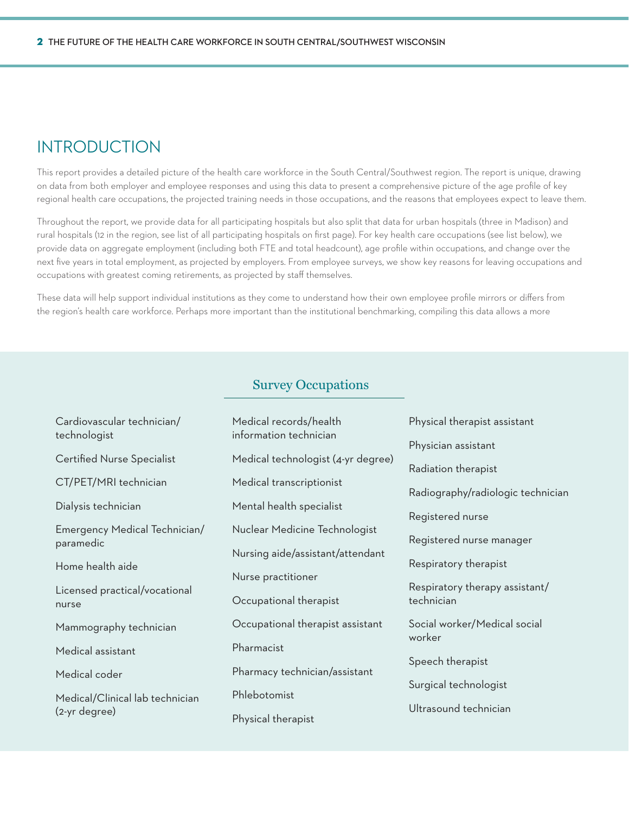### **INTRODUCTION**

This report provides a detailed picture of the health care workforce in the South Central/Southwest region. The report is unique, drawing on data from both employer and employee responses and using this data to present a comprehensive picture of the age profile of key regional health care occupations, the projected training needs in those occupations, and the reasons that employees expect to leave them.

Throughout the report, we provide data for all participating hospitals but also split that data for urban hospitals (three in Madison) and rural hospitals (12 in the region, see list of all participating hospitals on first page). For key health care occupations (see list below), we provide data on aggregate employment (including both FTE and total headcount), age profile within occupations, and change over the next five years in total employment, as projected by employers. From employee surveys, we show key reasons for leaving occupations and occupations with greatest coming retirements, as projected by staff themselves.

These data will help support individual institutions as they come to understand how their own employee profile mirrors or differs from the region's health care workforce. Perhaps more important than the institutional benchmarking, compiling this data allows a more

### Survey Occupations

| Cardiovascular technician/<br>technologist       | Medical records/health<br>information technician | Physical therapist assistant      |  |
|--------------------------------------------------|--------------------------------------------------|-----------------------------------|--|
|                                                  |                                                  | Physician assistant               |  |
| <b>Certified Nurse Specialist</b>                | Medical technologist (4-yr degree)               | Radiation therapist               |  |
| CT/PET/MRI technician                            | Medical transcriptionist                         | Radiography/radiologic technician |  |
| Dialysis technician                              | Mental health specialist                         |                                   |  |
|                                                  |                                                  | Registered nurse                  |  |
| Emergency Medical Technician/<br>paramedic       | Nuclear Medicine Technologist                    | Registered nurse manager          |  |
|                                                  | Nursing aide/assistant/attendant                 |                                   |  |
| Home health aide                                 |                                                  | Respiratory therapist             |  |
| Licensed practical/vocational                    | Nurse practitioner                               | Respiratory therapy assistant/    |  |
| nurse                                            | Occupational therapist                           | technician                        |  |
| Mammography technician                           | Occupational therapist assistant                 | Social worker/Medical social      |  |
| Medical assistant                                | Pharmacist                                       | worker                            |  |
|                                                  |                                                  | Speech therapist                  |  |
| Medical coder                                    | Pharmacy technician/assistant                    |                                   |  |
| Medical/Clinical lab technician<br>(2-yr degree) | Phlebotomist                                     | Surgical technologist             |  |
|                                                  |                                                  | Ultrasound technician             |  |
|                                                  | Physical therapist                               |                                   |  |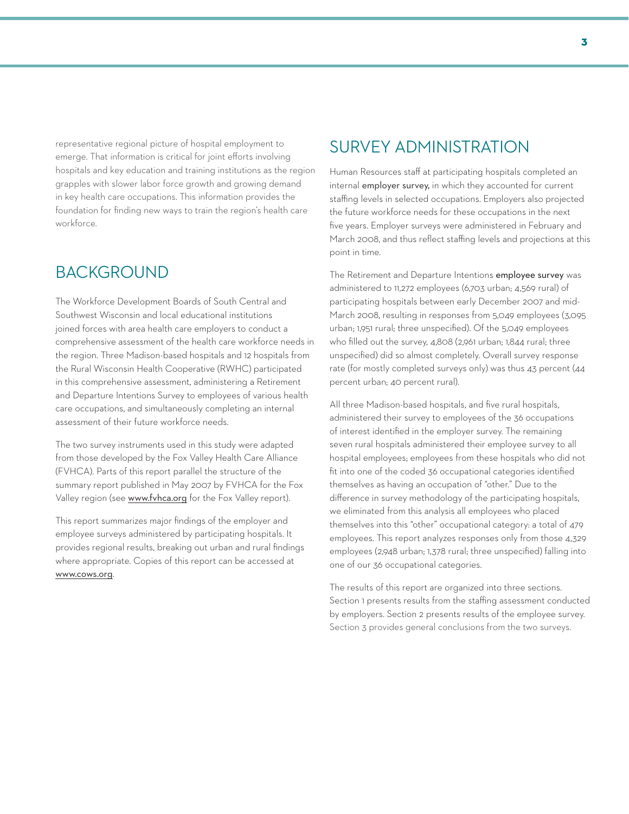representative regional picture of hospital employment to emerge. That information is critical for joint efforts involving hospitals and key education and training institutions as the region grapples with slower labor force growth and growing demand in key health care occupations. This information provides the foundation for finding new ways to train the region's health care workforce.

### **BACKGROUND**

The Workforce Development Boards of South Central and Southwest Wisconsin and local educational institutions joined forces with area health care employers to conduct a comprehensive assessment of the health care workforce needs in the region. Three Madison-based hospitals and 12 hospitals from the Rural Wisconsin Health Cooperative (RWHC) participated in this comprehensive assessment, administering a Retirement and Departure Intentions Survey to employees of various health care occupations, and simultaneously completing an internal assessment of their future workforce needs.

The two survey instruments used in this study were adapted from those developed by the Fox Valley Health Care Alliance (FVHCA). Parts of this report parallel the structure of the summary report published in May 2007 by FVHCA for the Fox Valley region (see www.fvhca.org for the Fox Valley report).

This report summarizes major findings of the employer and employee surveys administered by participating hospitals. It provides regional results, breaking out urban and rural findings where appropriate. Copies of this report can be accessed at www.cows.org.

### Survey Administration

Human Resources staff at participating hospitals completed an internal employer survey, in which they accounted for current staffing levels in selected occupations. Employers also projected the future workforce needs for these occupations in the next five years. Employer surveys were administered in February and March 2008, and thus reflect staffing levels and projections at this point in time.

The Retirement and Departure Intentions employee survey was administered to 11,272 employees (6,703 urban; 4,569 rural) of participating hospitals between early December 2007 and mid-March 2008, resulting in responses from 5,049 employees (3,095 urban; 1,951 rural; three unspecified). Of the 5,049 employees who filled out the survey, 4,808 (2,961 urban; 1,844 rural; three unspecified) did so almost completely. Overall survey response rate (for mostly completed surveys only) was thus 43 percent (44 percent urban; 40 percent rural).

All three Madison-based hospitals, and five rural hospitals, administered their survey to employees of the 36 occupations of interest identified in the employer survey. The remaining seven rural hospitals administered their employee survey to all hospital employees; employees from these hospitals who did not fit into one of the coded 36 occupational categories identified themselves as having an occupation of "other." Due to the difference in survey methodology of the participating hospitals, we eliminated from this analysis all employees who placed themselves into this "other" occupational category: a total of 479 employees. This report analyzes responses only from those 4,329 employees (2,948 urban; 1,378 rural; three unspecified) falling into one of our 36 occupational categories.

The results of this report are organized into three sections. Section 1 presents results from the staffing assessment conducted by employers. Section 2 presents results of the employee survey. Section 3 provides general conclusions from the two surveys.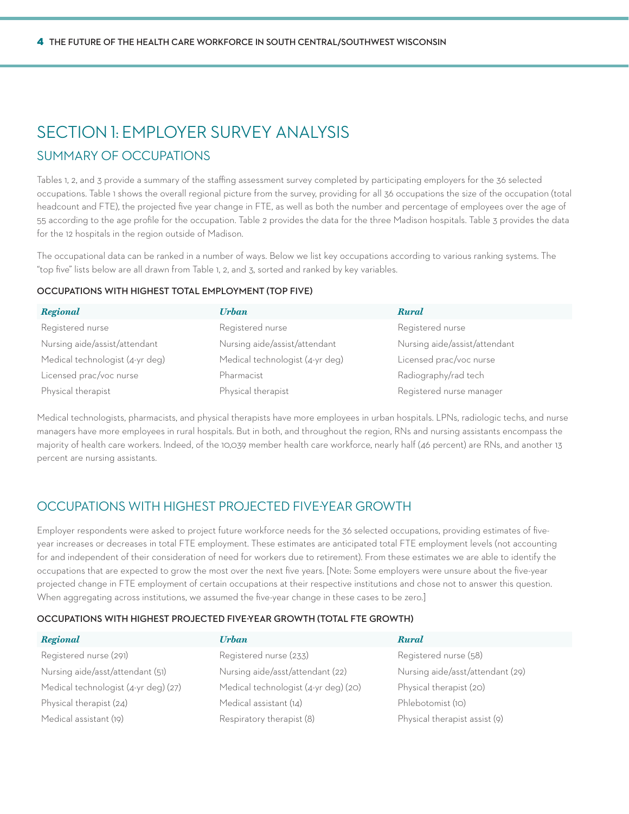## SECTION 1: EMPLOYER SURVEY ANALYSIS

### Summary of Occupations

Tables 1, 2, and 3 provide a summary of the staffing assessment survey completed by participating employers for the 36 selected occupations. Table 1 shows the overall regional picture from the survey, providing for all 36 occupations the size of the occupation (total headcount and FTE), the projected five year change in FTE, as well as both the number and percentage of employees over the age of 55 according to the age profile for the occupation. Table 2 provides the data for the three Madison hospitals. Table 3 provides the data for the 12 hospitals in the region outside of Madison.

The occupational data can be ranked in a number of ways. Below we list key occupations according to various ranking systems. The "top five" lists below are all drawn from Table 1, 2, and 3, sorted and ranked by key variables.

#### **Occupations with Highest Total Employment (Top Five)**

| <b>Regional</b>                 | <b>Urban</b>                    | <b>Rural</b>                  |
|---------------------------------|---------------------------------|-------------------------------|
| Registered nurse                | Registered nurse                | Registered nurse              |
| Nursing aide/assist/attendant   | Nursing aide/assist/attendant   | Nursing aide/assist/attendant |
| Medical technologist (4-yr deg) | Medical technologist (4-yr deg) | Licensed prac/voc nurse       |
| Licensed prac/voc nurse         | Pharmacist                      | Radiography/rad tech          |
| Physical therapist              | Physical therapist              | Registered nurse manager      |

Medical technologists, pharmacists, and physical therapists have more employees in urban hospitals. LPNs, radiologic techs, and nurse managers have more employees in rural hospitals. But in both, and throughout the region, RNs and nursing assistants encompass the majority of health care workers. Indeed, of the 10,039 member health care workforce, nearly half (46 percent) are RNs, and another 13 percent are nursing assistants.

### Occupations with Highest Projected Five-Year Growth

Employer respondents were asked to project future workforce needs for the 36 selected occupations, providing estimates of fiveyear increases or decreases in total FTE employment. These estimates are anticipated total FTE employment levels (not accounting for and independent of their consideration of need for workers due to retirement). From these estimates we are able to identify the occupations that are expected to grow the most over the next five years. [Note: Some employers were unsure about the five-year projected change in FTE employment of certain occupations at their respective institutions and chose not to answer this question. When aggregating across institutions, we assumed the five-year change in these cases to be zero.]

#### **Occupations with Highest Projected Five-Year Growth (Total FTE Growth)**

| <b>Regional</b>                      | Urban                                | <b>Rural</b>                     |
|--------------------------------------|--------------------------------------|----------------------------------|
| Registered nurse (291)               | Registered nurse (233)               | Registered nurse (58)            |
| Nursing aide/asst/attendant (51)     | Nursing aide/asst/attendant (22)     | Nursing aide/asst/attendant (29) |
| Medical technologist (4-yr deg) (27) | Medical technologist (4-yr deg) (20) | Physical therapist (20)          |
| Physical therapist (24)              | Medical assistant (14)               | Phlebotomist (10)                |
| Medical assistant (19)               | Respiratory therapist (8)            | Physical therapist assist (9)    |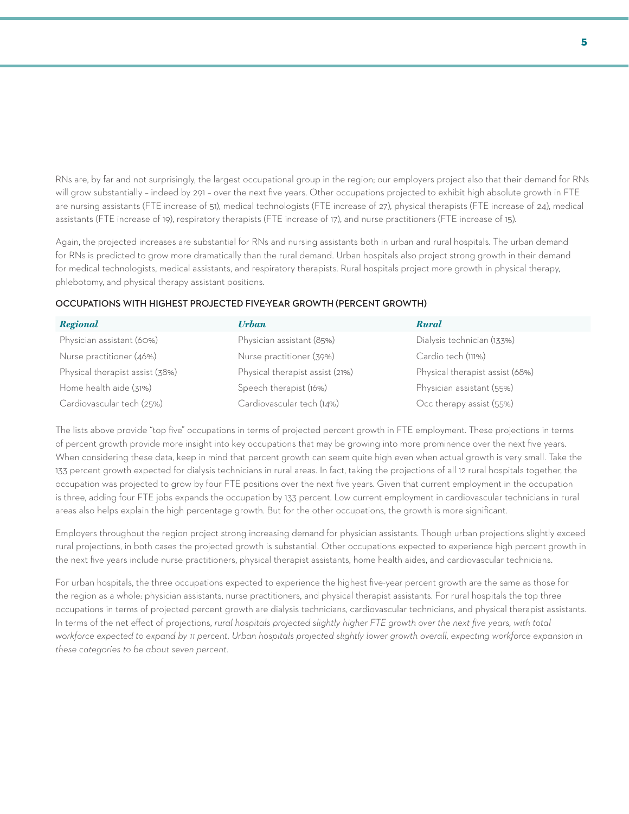RNs are, by far and not surprisingly, the largest occupational group in the region; our employers project also that their demand for RNs will grow substantially – indeed by 291 – over the next five years. Other occupations projected to exhibit high absolute growth in FTE are nursing assistants (FTE increase of 51), medical technologists (FTE increase of 27), physical therapists (FTE increase of 24), medical assistants (FTE increase of 19), respiratory therapists (FTE increase of 17), and nurse practitioners (FTE increase of 15).

Again, the projected increases are substantial for RNs and nursing assistants both in urban and rural hospitals. The urban demand for RNs is predicted to grow more dramatically than the rural demand. Urban hospitals also project strong growth in their demand for medical technologists, medical assistants, and respiratory therapists. Rural hospitals project more growth in physical therapy, phlebotomy, and physical therapy assistant positions.

#### **Occupations with Highest Projected Five-Year Growth (Percent Growth)**

| Regional                        | <b>Urban</b>                    | <b>Rural</b>                    |
|---------------------------------|---------------------------------|---------------------------------|
| Physician assistant (60%)       | Physician assistant (85%)       | Dialysis technician (133%)      |
| Nurse practitioner (46%)        | Nurse practitioner (39%)        | Cardio tech (111%)              |
| Physical therapist assist (38%) | Physical therapist assist (21%) | Physical therapist assist (68%) |
| Home health aide (31%)          | Speech therapist (16%)          | Physician assistant (55%)       |
| Cardiovascular tech (25%)       | Cardiovascular tech (14%)       | Occ therapy assist (55%)        |

The lists above provide "top five" occupations in terms of projected percent growth in FTE employment. These projections in terms of percent growth provide more insight into key occupations that may be growing into more prominence over the next five years. When considering these data, keep in mind that percent growth can seem quite high even when actual growth is very small. Take the 133 percent growth expected for dialysis technicians in rural areas. In fact, taking the projections of all 12 rural hospitals together, the occupation was projected to grow by four FTE positions over the next five years. Given that current employment in the occupation is three, adding four FTE jobs expands the occupation by 133 percent. Low current employment in cardiovascular technicians in rural areas also helps explain the high percentage growth. But for the other occupations, the growth is more significant.

Employers throughout the region project strong increasing demand for physician assistants. Though urban projections slightly exceed rural projections, in both cases the projected growth is substantial. Other occupations expected to experience high percent growth in the next five years include nurse practitioners, physical therapist assistants, home health aides, and cardiovascular technicians.

For urban hospitals, the three occupations expected to experience the highest five-year percent growth are the same as those for the region as a whole: physician assistants, nurse practitioners, and physical therapist assistants. For rural hospitals the top three occupations in terms of projected percent growth are dialysis technicians, cardiovascular technicians, and physical therapist assistants. In terms of the net effect of projections, *rural hospitals projected slightly higher FTE growth over the next five years, with total workforce expected to expand by 11 percent. Urban hospitals projected slightly lower growth overall, expecting workforce expansion in these categories to be about seven percent.*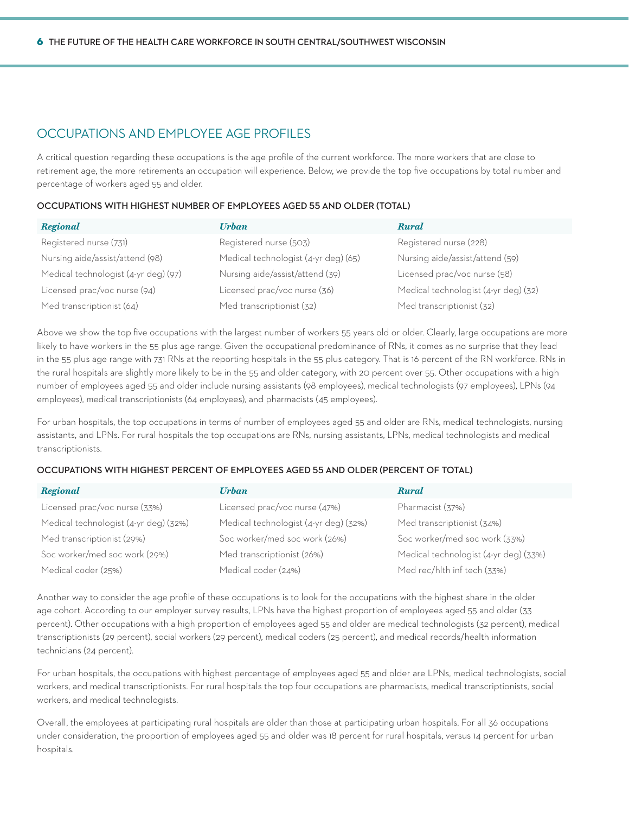### Occupations and Employee Age Profiles

A critical question regarding these occupations is the age profile of the current workforce. The more workers that are close to retirement age, the more retirements an occupation will experience. Below, we provide the top five occupations by total number and percentage of workers aged 55 and older.

#### **Occupations with Highest Number of Employees Aged 55 and Older (Total)**

| <b>Regional</b>                      | Urban                                | <b>Rural</b>                         |
|--------------------------------------|--------------------------------------|--------------------------------------|
| Registered nurse (731)               | Registered nurse (503)               | Registered nurse (228)               |
| Nursing aide/assist/attend (98)      | Medical technologist (4-yr deg) (65) | Nursing aide/assist/attend (59)      |
| Medical technologist (4-yr deg) (97) | Nursing aide/assist/attend (39)      | Licensed prac/voc nurse (58)         |
| Licensed prac/voc nurse (94)         | Licensed prac/voc nurse (36)         | Medical technologist (4-yr deg) (32) |
| Med transcriptionist (64)            | Med transcriptionist (32)            | Med transcriptionist (32)            |

Above we show the top five occupations with the largest number of workers 55 years old or older. Clearly, large occupations are more likely to have workers in the 55 plus age range. Given the occupational predominance of RNs, it comes as no surprise that they lead in the 55 plus age range with 731 RNs at the reporting hospitals in the 55 plus category. That is 16 percent of the RN workforce. RNs in the rural hospitals are slightly more likely to be in the 55 and older category, with 20 percent over 55. Other occupations with a high number of employees aged 55 and older include nursing assistants (98 employees), medical technologists (97 employees), LPNs (94 employees), medical transcriptionists (64 employees), and pharmacists (45 employees).

For urban hospitals, the top occupations in terms of number of employees aged 55 and older are RNs, medical technologists, nursing assistants, and LPNs. For rural hospitals the top occupations are RNs, nursing assistants, LPNs, medical technologists and medical transcriptionists.

### **Occupations with Highest Percent of Employees Aged 55 and Older (Percent of Total)**

| <b>Regional</b>                       | Urban                                 | <b>Rural</b>                          |
|---------------------------------------|---------------------------------------|---------------------------------------|
| Licensed prac/voc nurse (33%)         | Licensed prac/voc nurse (47%)         | Pharmacist (37%)                      |
| Medical technologist (4-yr deg) (32%) | Medical technologist (4-yr deg) (32%) | Med transcriptionist (34%)            |
| Med transcriptionist (29%)            | Soc worker/med soc work (26%)         | Soc worker/med soc work (33%)         |
| Soc worker/med soc work (29%)         | Med transcriptionist (26%)            | Medical technologist (4-yr deg) (33%) |
| Medical coder (25%)                   | Medical coder (24%)                   | Med rec/hlth inf tech (33%)           |

Another way to consider the age profile of these occupations is to look for the occupations with the highest share in the older age cohort. According to our employer survey results, LPNs have the highest proportion of employees aged 55 and older (33 percent). Other occupations with a high proportion of employees aged 55 and older are medical technologists (32 percent), medical transcriptionists (29 percent), social workers (29 percent), medical coders (25 percent), and medical records/health information technicians (24 percent).

For urban hospitals, the occupations with highest percentage of employees aged 55 and older are LPNs, medical technologists, social workers, and medical transcriptionists. For rural hospitals the top four occupations are pharmacists, medical transcriptionists, social workers, and medical technologists.

Overall, the employees at participating rural hospitals are older than those at participating urban hospitals. For all 36 occupations under consideration, the proportion of employees aged 55 and older was 18 percent for rural hospitals, versus 14 percent for urban hospitals.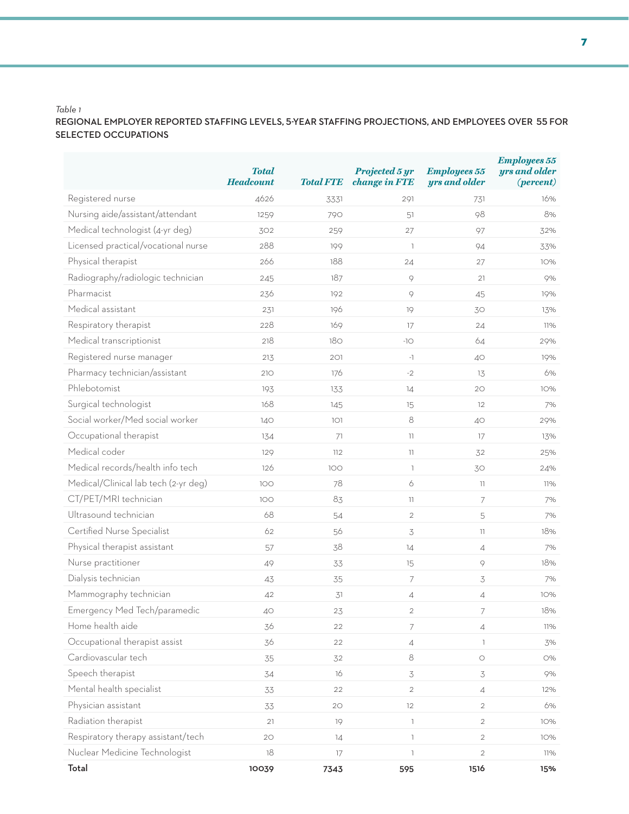### **Regional employer reported staffing levels, 5-year staffing projections, and employees over 55 for selected occupations**

|                                      | <b>Total</b><br><b>Headcount</b> | <b>Total FTE</b> | Projected 5 yr<br>change in FTE       | <b>Employees 55</b><br>yrs and older | <b>Employees 55</b><br>yrs and older<br>$(percent)$ |
|--------------------------------------|----------------------------------|------------------|---------------------------------------|--------------------------------------|-----------------------------------------------------|
| Registered nurse                     | 4626                             | 3331             | 291                                   | 731                                  | 16%                                                 |
| Nursing aide/assistant/attendant     | 1259                             | 790              | 51                                    | 98                                   | 8%                                                  |
| Medical technologist (4-yr deg)      | 302                              | 259              | 27                                    | 97                                   | 32%                                                 |
| Licensed practical/vocational nurse  | 288                              | 199              | $\overline{\phantom{a}}$              | 94                                   | 33%                                                 |
| Physical therapist                   | 266                              | 188              | 24                                    | 27                                   | 10%                                                 |
| Radiography/radiologic technician    | 245                              | 187              | 9                                     | 21                                   | 9%                                                  |
| Pharmacist                           | 236                              | 192              | $\, \circ \,$                         | 45                                   | 19%                                                 |
| Medical assistant                    | 231                              | 196              | 19                                    | 30                                   | 13%                                                 |
| Respiratory therapist                | 228                              | 169              | 17                                    | 24                                   | 11%                                                 |
| Medical transcriptionist             | 218                              | 180              | $-10$                                 | 64                                   | 29%                                                 |
| Registered nurse manager             | 213                              | 201              | $-1$                                  | 40                                   | 19%                                                 |
| Pharmacy technician/assistant        | 210                              | 176              | $-2$                                  | 13                                   | 6%                                                  |
| Phlebotomist                         | 193                              | 133              | 14                                    | 20                                   | 10%                                                 |
| Surgical technologist                | 168                              | 145              | 15                                    | 12                                   | 7%                                                  |
| Social worker/Med social worker      | 140                              | 101              | $\,8\,$                               | 40                                   | 29%                                                 |
| Occupational therapist               | 134                              | 71               | 11                                    | 17                                   | 13%                                                 |
| Medical coder                        | 129                              | 112              | $\mathbb{I}$                          | 32                                   | 25%                                                 |
| Medical records/health info tech     | 126                              | 100              | $\mathbb{R}$                          | 30                                   | 24%                                                 |
| Medical/Clinical lab tech (2-yr deg) | 100                              | 78               | 6                                     | 11                                   | 11%                                                 |
| CT/PET/MRI technician                | 100                              | 83               | 11                                    | 7                                    | 7%                                                  |
| Ultrasound technician                | 68                               | 54               | $\overline{c}$                        | 5                                    | 7%                                                  |
| Certified Nurse Specialist           | 62                               | 56               | $\preceq$                             | 11                                   | 18%                                                 |
| Physical therapist assistant         | 57                               | 38               | 14                                    | $\overline{4}$                       | 7%                                                  |
| Nurse practitioner                   | 49                               | 33               | 15                                    | 9                                    | 18%                                                 |
| Dialysis technician                  | 43                               | 35               | $\overline{\phantom{a}}$              | $\mathfrak{Z}$                       | 7%                                                  |
| Mammography technician               | 42                               | 31               | 4                                     | $\overline{4}$                       | 10%                                                 |
| Emergency Med Tech/paramedic         | 40                               | 23               | $\overline{2}$                        | 7                                    | 18%                                                 |
| Home health aide                     | 36                               | 22               | 7                                     | $\overline{4}$                       | 11%                                                 |
| Occupational therapist assist        | 36                               | 22               | 4                                     | $\mathbb{I}$                         | 3%                                                  |
| Cardiovascular tech                  | 35                               | 32               | 8                                     | $\bigcirc$                           | О%                                                  |
| Speech therapist                     | 34                               | 16               | 3                                     | 3                                    | 9%                                                  |
| Mental health specialist             | 33                               | 22               | $\overline{c}$                        | $\overline{4}$                       | 12%                                                 |
| Physician assistant                  | 33                               | $2\textrm{O}$    | 12                                    | $\overline{2}$                       | 6%                                                  |
| Radiation therapist                  | 21                               | 19               | $\mathbb{R}$                          | $\overline{2}$                       | 10%                                                 |
| Respiratory therapy assistant/tech   | 20                               | 14               | $\mathbb{I}$                          | $\overline{2}$                       | 10%                                                 |
| Nuclear Medicine Technologist        | 18                               | 17               | $\begin{array}{c} \hline \end{array}$ | $\mathbf{2}$                         | 11%                                                 |
| Total                                | 10039                            | 7343             | 595                                   | 1516                                 | 15%                                                 |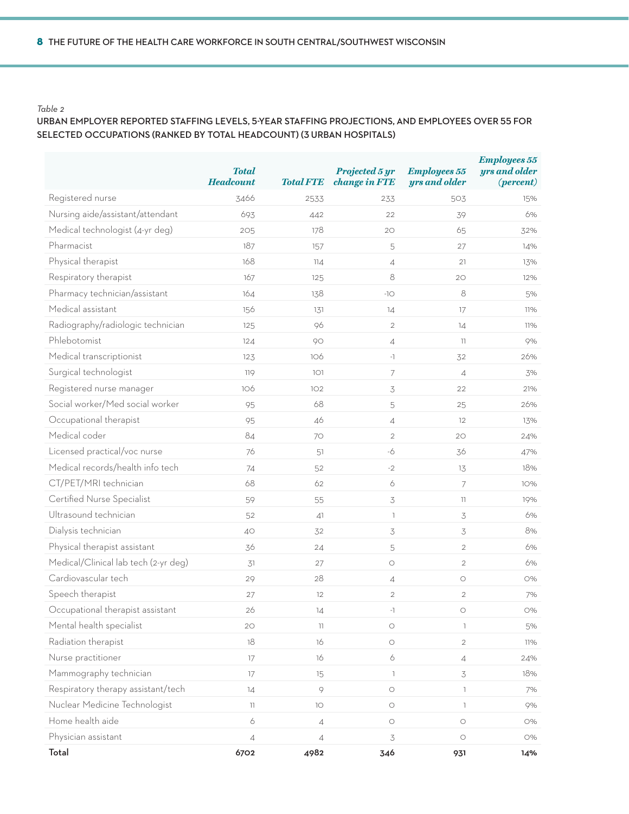### **urban employer reported staffing levels, 5-year staffing projections, and employees over 55 for selected occupations (ranked by total headcount) (3 urban hospitals)**

|                                      | <b>Total</b><br><b>Headcount</b> | <b>Total FTE</b> | Projected 5 yr<br>change in FTE | <b>Employees 55</b><br>yrs and older | <b>Employees 55</b><br>yrs and older<br>$(percent)$ |
|--------------------------------------|----------------------------------|------------------|---------------------------------|--------------------------------------|-----------------------------------------------------|
| Registered nurse                     | 3466                             | 2533             | 233                             | 503                                  | 15%                                                 |
| Nursing aide/assistant/attendant     | 693                              | 442              | 22                              | 39                                   | 6%                                                  |
| Medical technologist (4-yr deg)      | 205                              | 178              | 20                              | 65                                   | 32%                                                 |
| Pharmacist                           | 187                              | 157              | 5                               | 27                                   | 14%                                                 |
| Physical therapist                   | 168                              | 114              | $\overline{4}$                  | 21                                   | 13%                                                 |
| Respiratory therapist                | 167                              | 125              | 8                               | 20                                   | 12%                                                 |
| Pharmacy technician/assistant        | 164                              | 138              | $-10$                           | 8                                    | 5%                                                  |
| Medical assistant                    | 156                              | 131              | 14                              | 17                                   | 11%                                                 |
| Radiography/radiologic technician    | 125                              | 96               | $\overline{2}$                  | 14                                   | 11%                                                 |
| Phlebotomist                         | 124                              | 90               | $\sqrt{4}$                      | 11                                   | 9%                                                  |
| Medical transcriptionist             | 123                              | 106              | $-1$                            | 32                                   | 26%                                                 |
| Surgical technologist                | 119                              | 1O1              | 7                               | $\overline{4}$                       | 3%                                                  |
| Registered nurse manager             | 106                              | 102              | 3                               | 22                                   | 21%                                                 |
| Social worker/Med social worker      | 95                               | 68               | 5                               | 25                                   | 26%                                                 |
| Occupational therapist               | 95                               | 46               | $\sqrt{4}$                      | 12                                   | 13%                                                 |
| Medical coder                        | 84                               | 70               | $\overline{2}$                  | 20                                   | 24%                                                 |
| Licensed practical/voc nurse         | 76                               | 51               | $-6$                            | 36                                   | 47%                                                 |
| Medical records/health info tech     | 74                               | 52               | $-2$                            | 13                                   | 18%                                                 |
| CT/PET/MRI technician                | 68                               | 62               | 6                               | 7                                    | 10%                                                 |
| Certified Nurse Specialist           | 59                               | 55               | $\preceq$                       | 11                                   | 19%                                                 |
| Ultrasound technician                | 52                               | 41               | $\mathbb{I}$                    | $\overline{\mathcal{S}}$             | 6%                                                  |
| Dialysis technician                  | 40                               | 32               | $\preceq$                       | $\overline{\mathcal{S}}$             | 8%                                                  |
| Physical therapist assistant         | 36                               | 24               | 5                               | $\overline{2}$                       | 6%                                                  |
| Medical/Clinical lab tech (2-yr deg) | 31                               | 27               | $\bigcirc$                      | $\mathbf{2}$                         | 6%                                                  |
| Cardiovascular tech                  | 29                               | 28               | $\overline{A}$                  | $\bigcirc$                           | O%                                                  |
| Speech therapist                     | 27                               | 12               | $\overline{c}$                  | $\overline{c}$                       | 7%                                                  |
| Occupational therapist assistant     | 26                               | 14               | $-1$                            | $\bigcirc$                           | O%                                                  |
| Mental health specialist             | 20                               | $\overline{11}$  | $\bigcirc$                      | $\mathbb{I}$                         | 5%                                                  |
| Radiation therapist                  | 18                               | 16               | $\bigcirc$                      | $\overline{2}$                       | 11%                                                 |
| Nurse practitioner                   | 17                               | 16               | 6                               | $\overline{4}$                       | 24%                                                 |
| Mammography technician               | 17                               | 15               | $\mathbb{I}$                    | $\overline{\mathcal{S}}$             | 18%                                                 |
| Respiratory therapy assistant/tech   | 14                               | $\circ$          | $\bigcirc$                      | $\mathbb{I}$                         | 7%                                                  |
| Nuclear Medicine Technologist        | 11                               | 10               | $\bigcirc$                      | $\mathbb{I}$                         | 9%                                                  |
| Home health aide                     | $\acute{\rm{o}}$                 | $\sqrt{4}$       | $\bigcirc$                      | $\bigcirc$                           | O%                                                  |
| Physician assistant                  | $\overline{4}$                   | $\overline{4}$   | $\preceq$                       | $\bigcirc$                           | O%                                                  |
| Total                                | 6702                             | 4982             | 346                             | 931                                  | 14%                                                 |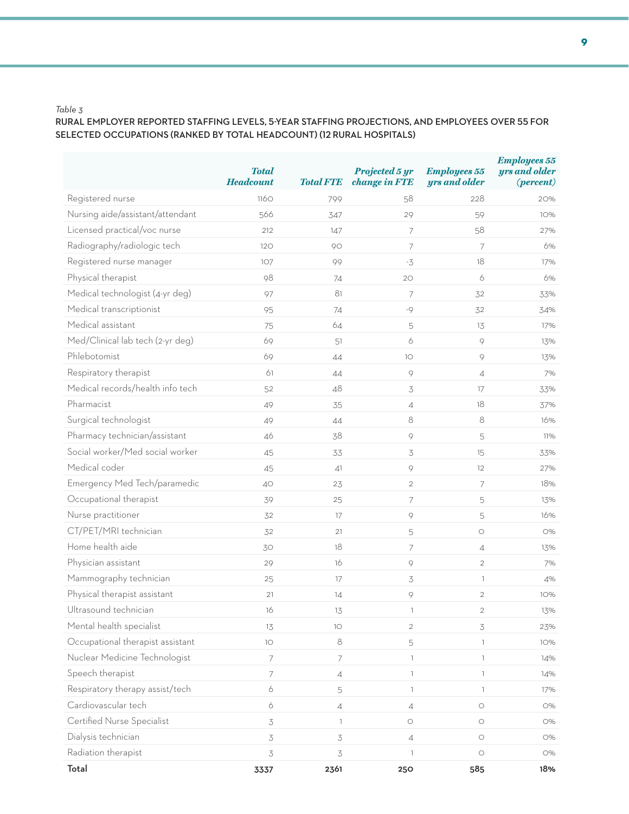### **rural employer reported staffing levels, 5-year staffing projections, and employees over 55 for selected occupations (ranked by total headcount) (12 rural hospitals)**

|                                  | <b>Total</b><br><b>Headcount</b> | <b>Total FTE</b> | Projected 5 yr<br>change in FTE | <b>Employees 55</b><br>yrs and older | <b>Employees 55</b><br>yrs and older<br>$(percent)$ |
|----------------------------------|----------------------------------|------------------|---------------------------------|--------------------------------------|-----------------------------------------------------|
| Registered nurse                 | 1160                             | 799              | 58                              | 228                                  | 20%                                                 |
| Nursing aide/assistant/attendant | 566                              | 347              | 29                              | 59                                   | 10%                                                 |
| Licensed practical/voc nurse     | 212                              | 147              | 7                               | 58                                   | 27%                                                 |
| Radiography/radiologic tech      | 120                              | 90               | $\overline{7}$                  | 7                                    | 6%                                                  |
| Registered nurse manager         | 107                              | 99               | $-3$                            | 18                                   | 17%                                                 |
| Physical therapist               | 98                               | 74               | 20                              | 6                                    | 6%                                                  |
| Medical technologist (4-yr deg)  | 97                               | 81               | $\overline{7}$                  | 32                                   | 33%                                                 |
| Medical transcriptionist         | 95                               | 74               | $-9$                            | 32                                   | 34%                                                 |
| Medical assistant                | 75                               | 64               | 5                               | 13                                   | 17%                                                 |
| Med/Clinical lab tech (2-yr deg) | 69                               | 51               | 6                               | 9                                    | 13%                                                 |
| Phlebotomist                     | 69                               | 44               | 10                              | $\circ$                              | 13%                                                 |
| Respiratory therapist            | 61                               | 44               | $\, \circ \,$                   | $\overline{4}$                       | 7%                                                  |
| Medical records/health info tech | 52                               | 48               | 3                               | 17                                   | 33%                                                 |
| Pharmacist                       | 49                               | 35               | $\sqrt{4}$                      | 18                                   | 37%                                                 |
| Surgical technologist            | 49                               | 44               | 8                               | $\,8\,$                              | 16%                                                 |
| Pharmacy technician/assistant    | 46                               | 38               | 9                               | 5                                    | 11%                                                 |
| Social worker/Med social worker  | 45                               | 33               | $\preceq$                       | 15                                   | 33%                                                 |
| Medical coder                    | 45                               | 41               | $\, \circ \,$                   | $12 \,$                              | 27%                                                 |
| Emergency Med Tech/paramedic     | 40                               | 23               | $\overline{2}$                  | 7                                    | 18%                                                 |
| Occupational therapist           | 39                               | 25               | $\overline{\phantom{a}}$        | 5                                    | 13%                                                 |
| Nurse practitioner               | 32                               | 17               | 9                               | 5                                    | 16%                                                 |
| CT/PET/MRI technician            | 32                               | 21               | 5                               | $\bigcirc$                           | O%                                                  |
| Home health aide                 | 30                               | 18               | 7                               | $\overline{4}$                       | 13%                                                 |
| Physician assistant              | 29                               | 16               | 9                               | $\overline{2}$                       | 7%                                                  |
| Mammography technician           | 25                               | 17               | 3                               | $\overline{\phantom{a}}$             | 4%                                                  |
| Physical therapist assistant     | 21                               | 14               | $\, \circ \,$                   | $\overline{2}$                       | 10%                                                 |
| Ultrasound technician            | 16                               | 13               | $\overline{\phantom{a}}$        | $\overline{2}$                       | 13%                                                 |
| Mental health specialist         | 13                               | 10               | $\overline{2}$                  | 3                                    | 23%                                                 |
| Occupational therapist assistant | 10                               | $\,8\,$          | 5                               | $\mathbb{I}$                         | 10%                                                 |
| Nuclear Medicine Technologist    | $\overline{7}$                   | $\overline{7}$   | $\mathbb{I}$                    | $\mathbb{L}$                         | 14%                                                 |
| Speech therapist                 | 7                                | $\overline{4}$   | $\mathbb{I}$                    | $\mathbb{L}$                         | 14%                                                 |
| Respiratory therapy assist/tech  | 6                                | 5                | $\mathbb{I}$                    | $\mathbb{L}$                         | 17%                                                 |
| Cardiovascular tech              | 6                                | $\overline{4}$   | $\overline{4}$                  | $\bigcirc$                           | O%                                                  |
| Certified Nurse Specialist       | 3                                | $\mathbb{L}$     | $\bigcirc$                      | $\bigcirc$                           | O%                                                  |
| Dialysis technician              | 3                                | 3                | $\overline{4}$                  | $\bigcirc$                           | O%                                                  |
| Radiation therapist              | $\mathfrak{Z}$                   | $\preceq$        | $\mathbb{I}$                    | $\bigcirc$                           | O%                                                  |
| Total                            | 3337                             | 2361             | 250                             | 585                                  | 18%                                                 |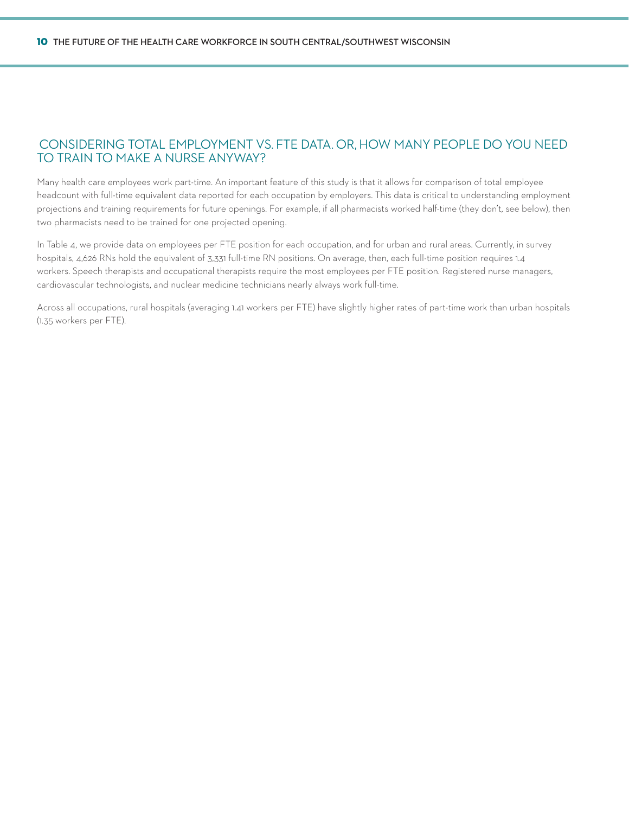### Considering total employment vs. FTE data. Or, how many people do you need to train to make a nurse anyway?

Many health care employees work part-time. An important feature of this study is that it allows for comparison of total employee headcount with full-time equivalent data reported for each occupation by employers. This data is critical to understanding employment projections and training requirements for future openings. For example, if all pharmacists worked half-time (they don't, see below), then two pharmacists need to be trained for one projected opening.

In Table 4, we provide data on employees per FTE position for each occupation, and for urban and rural areas. Currently, in survey hospitals, 4,626 RNs hold the equivalent of 3,331 full-time RN positions. On average, then, each full-time position requires 1.4 workers. Speech therapists and occupational therapists require the most employees per FTE position. Registered nurse managers, cardiovascular technologists, and nuclear medicine technicians nearly always work full-time.

Across all occupations, rural hospitals (averaging 1.41 workers per FTE) have slightly higher rates of part-time work than urban hospitals (1.35 workers per FTE).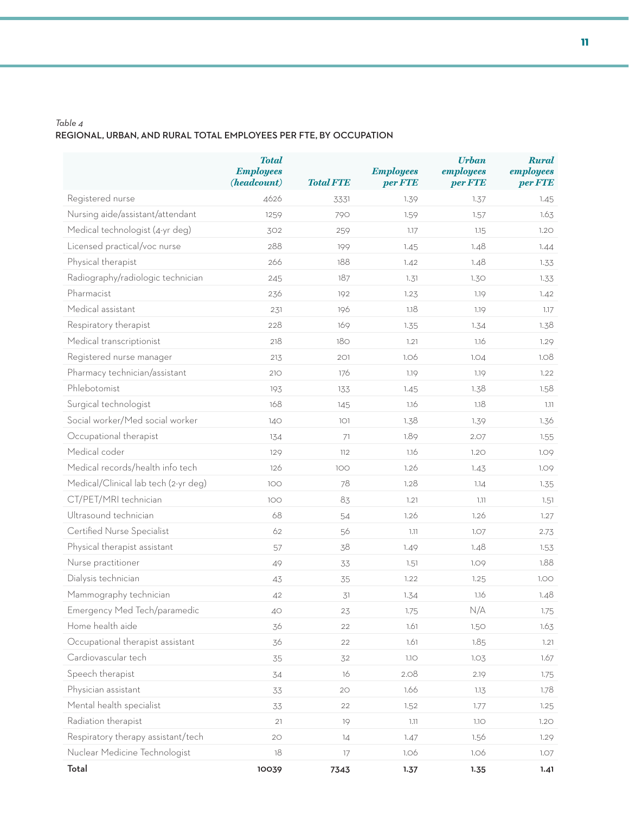### *Table 4* **regional, urban, and rural total employees per fte, by occupation**

|                                      | <b>Total</b><br><b>Employees</b><br>(headcount) | <b>Total FTE</b> | <b>Employees</b><br>per FTE | <b>Urban</b><br>employees<br>per FTE | <b>Rural</b><br>employees<br>per FTE |
|--------------------------------------|-------------------------------------------------|------------------|-----------------------------|--------------------------------------|--------------------------------------|
| Registered nurse                     | 4626                                            | 3331             | 1.39                        | 1.37                                 | 1.45                                 |
| Nursing aide/assistant/attendant     | 1259                                            | 790              | 1.59                        | 1.57                                 | 1.63                                 |
| Medical technologist (4-yr deg)      | 302                                             | 259              | 1.17                        | 1.15                                 | 1.20                                 |
| Licensed practical/voc nurse         | 288                                             | 199              | 1.45                        | 1.48                                 | 1.44                                 |
| Physical therapist                   | 266                                             | 188              | 1.42                        | 1.48                                 | 1.33                                 |
| Radiography/radiologic technician    | 245                                             | 187              | 1.31                        | 1.30                                 | 1.33                                 |
| Pharmacist                           | 236                                             | 192              | 1.23                        | 1.19                                 | 1.42                                 |
| Medical assistant                    | 231                                             | 196              | 1.18                        | 1.19                                 | 1.17                                 |
| Respiratory therapist                | 228                                             | 169              | 1.35                        | 1.34                                 | 1.38                                 |
| Medical transcriptionist             | 218                                             | 180              | 1.21                        | 1.16                                 | 1.29                                 |
| Registered nurse manager             | 213                                             | 201              | 1.06                        | 1.04                                 | 1.08                                 |
| Pharmacy technician/assistant        | 210                                             | 176              | 1.19                        | 1.19                                 | 1.22                                 |
| Phlebotomist                         | 193                                             | 133              | 1.45                        | 1.38                                 | 1.58                                 |
| Surgical technologist                | 168                                             | 145              | 1.16                        | 1.18                                 | 1.11                                 |
| Social worker/Med social worker      | 140                                             | 101              | 1.38                        | 1.39                                 | 1.36                                 |
| Occupational therapist               | 134                                             | 71               | 1.89                        | 2.07                                 | 1.55                                 |
| Medical coder                        | 129                                             | 112              | 1.16                        | 1.20                                 | 1.09                                 |
| Medical records/health info tech     | 126                                             | 100              | 1.26                        | 1.43                                 | 1.09                                 |
| Medical/Clinical lab tech (2-yr deg) | 100                                             | 78               | 1.28                        | 1.14                                 | 1.35                                 |
| CT/PET/MRI technician                | 100                                             | 83               | 1.21                        | 1.11                                 | 1.51                                 |
| Ultrasound technician                | 68                                              | 54               | 1.26                        | 1.26                                 | 1.27                                 |
| Certified Nurse Specialist           | 62                                              | 56               | 1.11                        | 1.07                                 | 2.73                                 |
| Physical therapist assistant         | 57                                              | 38               | 1.49                        | 1.48                                 | 1.53                                 |
| Nurse practitioner                   | 49                                              | 33               | 1.51                        | 1.09                                 | 1.88                                 |
| Dialysis technician                  | 43                                              | 35               | 1.22                        | 1.25                                 | 1.00                                 |
| Mammography technician               | 42                                              | 31               | 1.34                        | 1.16                                 | 1.48                                 |
| Emergency Med Tech/paramedic         | 40                                              | 23               | 1.75                        | N/A                                  | 1.75                                 |
| Home health aide                     | 36                                              | 22               | 1.61                        | 1.50                                 | 1.63                                 |
| Occupational therapist assistant     | 36                                              | 22               | 1.61                        | 1.85                                 | 1.21                                 |
| Cardiovascular tech                  | 35                                              | 32               | 1.1O                        | 1.03                                 | 1.67                                 |
| Speech therapist                     | 34                                              | 16               | 2.08                        | 2.19                                 | 1.75                                 |
| Physician assistant                  | 33                                              | 20               | 1.66                        | 1.13                                 | 1.78                                 |
| Mental health specialist             | 33                                              | 22               | 1.52                        | 1.77                                 | 1.25                                 |
| Radiation therapist                  | 21                                              | 19               | 1.11                        | 1.1O                                 | 1.20                                 |
| Respiratory therapy assistant/tech   | $2\textrm{O}$                                   | 14               | 1.47                        | 1.56                                 | 1.29                                 |
| Nuclear Medicine Technologist        | 18                                              | 17               | 1.06                        | 1.06                                 | 1.07                                 |
| Total                                | 10039                                           | 7343             | 1.37                        | 1.35                                 | 1.41                                 |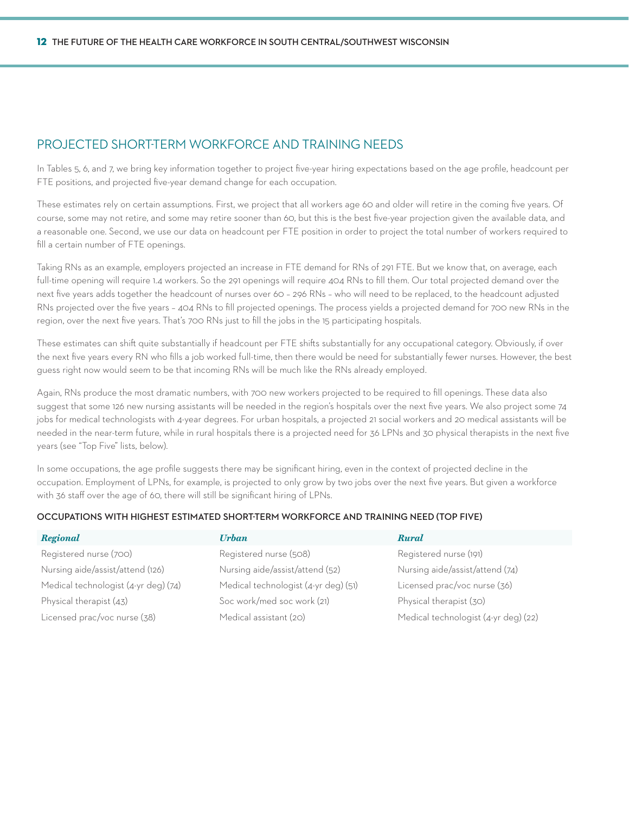### Projected Short-Term Workforce and Training Needs

In Tables 5, 6, and 7, we bring key information together to project five-year hiring expectations based on the age profile, headcount per FTE positions, and projected five-year demand change for each occupation.

These estimates rely on certain assumptions. First, we project that all workers age 60 and older will retire in the coming five years. Of course, some may not retire, and some may retire sooner than 60, but this is the best five-year projection given the available data, and a reasonable one. Second, we use our data on headcount per FTE position in order to project the total number of workers required to fill a certain number of FTE openings.

Taking RNs as an example, employers projected an increase in FTE demand for RNs of 291 FTE. But we know that, on average, each full-time opening will require 1.4 workers. So the 291 openings will require 404 RNs to fill them. Our total projected demand over the next five years adds together the headcount of nurses over 60 – 296 RNs – who will need to be replaced, to the headcount adjusted RNs projected over the five years – 404 RNs to fill projected openings. The process yields a projected demand for 700 new RNs in the region, over the next five years. That's 700 RNs just to fill the jobs in the 15 participating hospitals.

These estimates can shift quite substantially if headcount per FTE shifts substantially for any occupational category. Obviously, if over the next five years every RN who fills a job worked full-time, then there would be need for substantially fewer nurses. However, the best guess right now would seem to be that incoming RNs will be much like the RNs already employed.

Again, RNs produce the most dramatic numbers, with 700 new workers projected to be required to fill openings. These data also suggest that some 126 new nursing assistants will be needed in the region's hospitals over the next five years. We also project some 74 jobs for medical technologists with 4-year degrees. For urban hospitals, a projected 21 social workers and 20 medical assistants will be needed in the near-term future, while in rural hospitals there is a projected need for 36 LPNs and 30 physical therapists in the next five years (see "Top Five" lists, below).

In some occupations, the age profile suggests there may be significant hiring, even in the context of projected decline in the occupation. Employment of LPNs, for example, is projected to only grow by two jobs over the next five years. But given a workforce with 36 staff over the age of 60, there will still be significant hiring of LPNs.

#### **Occupations with Highest Estimated Short-Term Workforce and Training Need (Top Five)**

| <b>Regional</b>                      | Urban                                | <b>Rural</b>                         |
|--------------------------------------|--------------------------------------|--------------------------------------|
| Registered nurse (700)               | Registered nurse (508)               | Registered nurse (191)               |
| Nursing aide/assist/attend (126)     | Nursing aide/assist/attend (52)      | Nursing aide/assist/attend (74)      |
| Medical technologist (4-yr deg) (74) | Medical technologist (4-yr deg) (51) | Licensed prac/voc nurse (36)         |
| Physical therapist (43)              | Soc work/med soc work (21)           | Physical therapist (30)              |
| Licensed prac/voc nurse (38)         | Medical assistant (20)               | Medical technologist (4-yr deg) (22) |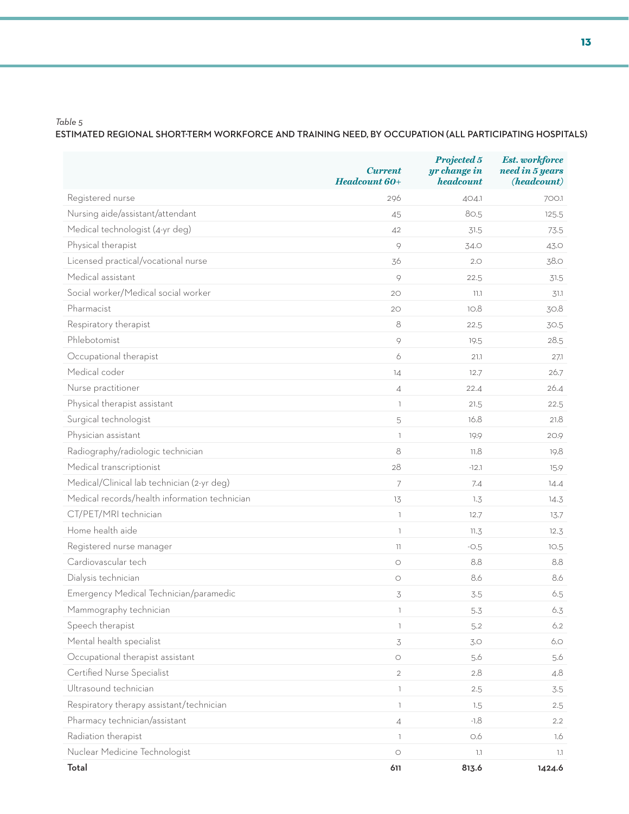### **estimated regional short-term workforce and training need, by occupation (all participating hospitals)**

|                                               | <b>Current</b><br>Headcount 60+  | Projected 5<br>yr change in<br>headcount | <b>Est.</b> workforce<br>need in 5 years<br>(headcount) |
|-----------------------------------------------|----------------------------------|------------------------------------------|---------------------------------------------------------|
| Registered nurse                              | 296                              | 404.1                                    | 700.1                                                   |
| Nursing aide/assistant/attendant              | 45                               | 80.5                                     | 125.5                                                   |
| Medical technologist (4-yr deg)               | 42                               | 31.5                                     | 73.5                                                    |
| Physical therapist                            | $\circ$                          | 34.O                                     | 43.0                                                    |
| Licensed practical/vocational nurse           | 36                               | 2.0                                      | 38.O                                                    |
| Medical assistant                             | 9                                | 22.5                                     | 31.5                                                    |
| Social worker/Medical social worker           | 20                               | 11.1                                     | 31.1                                                    |
| Pharmacist                                    | 20                               | 10.8                                     | 30.8                                                    |
| Respiratory therapist                         | 8                                | 22.5                                     | 30.5                                                    |
| Phlebotomist                                  | 9                                | 19.5                                     | 28.5                                                    |
| Occupational therapist                        | 6                                | 21.1                                     | 27.1                                                    |
| Medical coder                                 | 14                               | 12.7                                     | 26.7                                                    |
| Nurse practitioner                            | $\overline{4}$                   | 22.4                                     | 26.4                                                    |
| Physical therapist assistant                  | $\mathbb{I}$                     | 21.5                                     | 22.5                                                    |
| Surgical technologist                         | 5                                | 16.8                                     | 21.8                                                    |
| Physician assistant                           | $\overline{1}$                   | 19.9                                     | 20.9                                                    |
| Radiography/radiologic technician             | 8                                | 11.8                                     | 19.8                                                    |
| Medical transcriptionist                      | 28                               | $-12.1$                                  | 15.9                                                    |
| Medical/Clinical lab technician (2-yr deg)    | $\overline{7}$                   | 7.4                                      | 14.4                                                    |
| Medical records/health information technician | 13                               | 1.3                                      | 14.3                                                    |
| CT/PET/MRI technician                         | $\overline{1}$                   | 12.7                                     | 13.7                                                    |
| Home health aide                              | 1                                | 11.3                                     | 12.3                                                    |
| Registered nurse manager                      | $\left\lceil \cdot \right\rceil$ | $-0.5$                                   | 10.5                                                    |
| Cardiovascular tech                           | $\bigcirc$                       | 8.8                                      | 8.8                                                     |
| Dialysis technician                           | $\bigcirc$                       | 8.6                                      | 8.6                                                     |
| Emergency Medical Technician/paramedic        | $\preceq$                        | 3.5                                      | 6.5                                                     |
| Mammography technician                        |                                  | 5.3                                      | 6.3                                                     |
| Speech therapist                              | $\mathbb{I}$                     | 5.2                                      | 6.2                                                     |
| Mental health specialist                      | $\mathfrak{Z}$                   | 3.0                                      | 6.0                                                     |
| Occupational therapist assistant              | $\bigcirc$                       | 5.6                                      | 5.6                                                     |
| Certified Nurse Specialist                    | $\overline{2}$                   | 2.8                                      | 4.8                                                     |
| Ultrasound technician                         | $\mathbb{I}$                     | 2.5                                      | 3.5                                                     |
| Respiratory therapy assistant/technician      | $\bar{1}$                        | 1.5                                      | 2.5                                                     |
| Pharmacy technician/assistant                 | $\overline{4}$                   | $-1.8$                                   | 2.2                                                     |
| Radiation therapist                           | $\mathbb{I}$                     | 0.6                                      | 1.6                                                     |
| Nuclear Medicine Technologist                 | $\bigcirc$                       | 1.1                                      | 1.1                                                     |
| Total                                         | 611                              | 813.6                                    | 1424.6                                                  |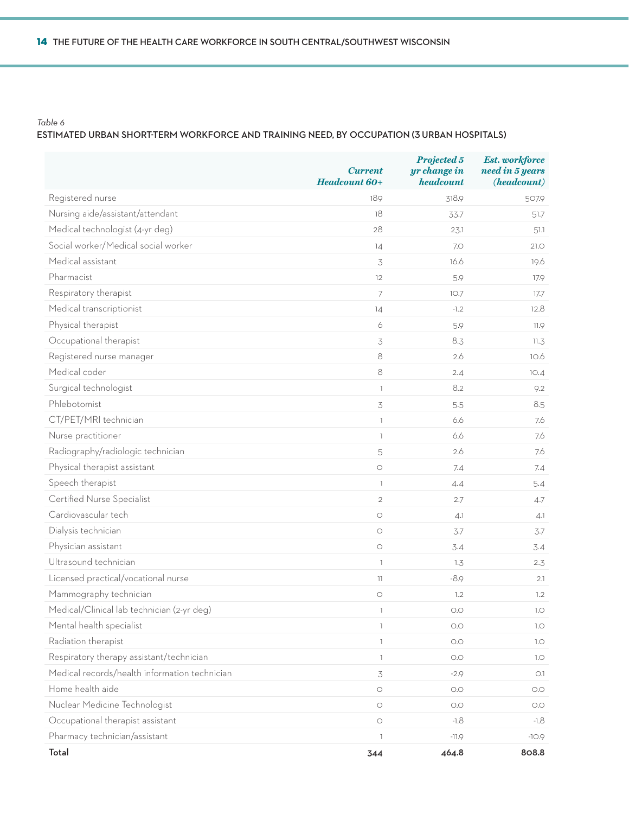### **estimated urban short-term workforce and training need, by occupation (3 urban hospitals)**

|                                               | <b>Current</b><br>Headcount 60+ | Projected 5<br>yr change in<br>headcount | <b>Est.</b> workforce<br>need in 5 years<br>(headcount) |
|-----------------------------------------------|---------------------------------|------------------------------------------|---------------------------------------------------------|
| Registered nurse                              | 189                             | 318.9                                    | 507.9                                                   |
| Nursing aide/assistant/attendant              | 18                              | 33.7                                     | 51.7                                                    |
| Medical technologist (4-yr deg)               | 28                              | 23.1                                     | 51.1                                                    |
| Social worker/Medical social worker           | 14                              | 7.0                                      | 21.0                                                    |
| Medical assistant                             | 3                               | 16.6                                     | 19.6                                                    |
| Pharmacist                                    | 12                              | 5.9                                      | 17.9                                                    |
| Respiratory therapist                         | 7                               | 10.7                                     | 17.7                                                    |
| Medical transcriptionist                      | 14                              | $-1.2$                                   | 12.8                                                    |
| Physical therapist                            | 6                               | 5.9                                      | 11.9                                                    |
| Occupational therapist                        | 3                               | 8.3                                      | 11.3                                                    |
| Registered nurse manager                      | 8                               | 2.6                                      | 10.6                                                    |
| Medical coder                                 | 8                               | 2.4                                      | 10.4                                                    |
| Surgical technologist                         | $\mathbb{I}$                    | 8.2                                      | 9.2                                                     |
| Phlebotomist                                  | 3                               | 5.5                                      | 8.5                                                     |
| CT/PET/MRI technician                         | $\bar{1}$                       | 6.6                                      | 7.6                                                     |
| Nurse practitioner                            | T                               | 6.6                                      | 7.6                                                     |
| Radiography/radiologic technician             | 5                               | 2.6                                      | 7.6                                                     |
| Physical therapist assistant                  | $\bigcirc$                      | 7.4                                      | 7.4                                                     |
| Speech therapist                              | T                               | 4.4                                      | 5.4                                                     |
| Certified Nurse Specialist                    | $\overline{2}$                  | 2.7                                      | 4.7                                                     |
| Cardiovascular tech                           | $\bigcirc$                      | 4.1                                      | 4.1                                                     |
| Dialysis technician                           | $\bigcirc$                      | 3.7                                      | 3.7                                                     |
| Physician assistant                           | $\bigcirc$                      | 3.4                                      | 3.4                                                     |
| Ultrasound technician                         | T                               | 1.3                                      | 2.3                                                     |
| Licensed practical/vocational nurse           | 11                              | $-8.9$                                   | 2.1                                                     |
| Mammography technician                        | $\bigcirc$                      | 1.2                                      | 1.2                                                     |
| Medical/Clinical lab technician (2-yr deg)    | ı                               | O.O                                      | 1.0                                                     |
| Mental health specialist                      | T                               | O.O                                      | 1.0                                                     |
| Radiation therapist                           | $\mathbb{L}$                    | $\bigcirc$                               | 1.0                                                     |
| Respiratory therapy assistant/technician      | T                               | O.O                                      | 1.0                                                     |
| Medical records/health information technician | 3                               | $-2.9$                                   | O.1                                                     |
| Home health aide                              | $\bigcirc$                      | O.O                                      | O.O                                                     |
| Nuclear Medicine Technologist                 | $\bigcirc$                      | O.O                                      | O.O                                                     |
| Occupational therapist assistant              | $\bigcirc$                      | $-1.8$                                   | $-1.8$                                                  |
| Pharmacy technician/assistant                 | T                               | $-11.9$                                  | $-10.9$                                                 |
| Total                                         | 344                             | 464.8                                    | 808.8                                                   |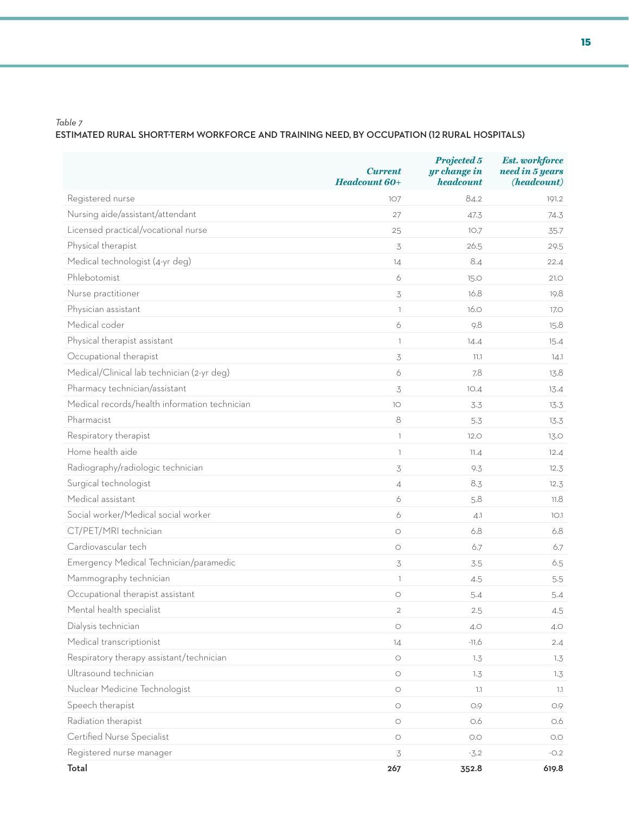### **estimated rural short-term workforce and training need, by occupation (12 rural hospitals)**

|                                               | <b>Current</b><br>Headcount 60+ | Projected 5<br>yr change in<br>headcount | <b>Est.</b> workforce<br>need in 5 years<br>(headcount) |
|-----------------------------------------------|---------------------------------|------------------------------------------|---------------------------------------------------------|
| Registered nurse                              | 107                             | 84.2                                     | 191.2                                                   |
| Nursing aide/assistant/attendant              | 27                              | 47.3                                     | 74.3                                                    |
| Licensed practical/vocational nurse           | 25                              | 10.7                                     | 35.7                                                    |
| Physical therapist                            | 3                               | 26.5                                     | 29.5                                                    |
| Medical technologist (4-yr deg)               | 14                              | 8.4                                      | 22.4                                                    |
| Phlebotomist                                  | 6                               | <b>15.0</b>                              | 21.0                                                    |
| Nurse practitioner                            | 3                               | 16.8                                     | 19.8                                                    |
| Physician assistant                           | $\mathbb{R}$                    | 16.0                                     | 17.O                                                    |
| Medical coder                                 | 6                               | 9.8                                      | 15.8                                                    |
| Physical therapist assistant                  | $\mathbb{I}$                    | 14.4                                     | 15.4                                                    |
| Occupational therapist                        | 3                               | 11.1                                     | 14.1                                                    |
| Medical/Clinical lab technician (2-yr deg)    | 6                               | 7.8                                      | 13.8                                                    |
| Pharmacy technician/assistant                 | 3                               | 10.4                                     | 13.4                                                    |
| Medical records/health information technician | 10                              | 3.3                                      | 13.3                                                    |
| Pharmacist                                    | 8                               | 5.3                                      | 13.3                                                    |
| Respiratory therapist                         | $\mathbb{I}$                    | 12.0                                     | 13.0                                                    |
| Home health aide                              | $\mathbb{I}$                    | 11.4                                     | 12.4                                                    |
| Radiography/radiologic technician             | 3                               | 9.3                                      | 12.3                                                    |
| Surgical technologist                         | $\overline{4}$                  | 8.3                                      | 12.3                                                    |
| Medical assistant                             | 6                               | 5.8                                      | 11.8                                                    |
| Social worker/Medical social worker           | 6                               | 4.1                                      | 10.1                                                    |
| CT/PET/MRI technician                         | $\circ$                         | 6.8                                      | 6.8                                                     |
| Cardiovascular tech                           | $\bigcirc$                      | 6.7                                      | 6.7                                                     |
| Emergency Medical Technician/paramedic        | 3                               | 3.5                                      | 6.5                                                     |
| Mammography technician                        | $\mathbb{I}$                    | 4.5                                      | 5.5                                                     |
| Occupational therapist assistant              | $\bigcirc$                      | 5.4                                      | 5.4                                                     |
| Mental health specialist                      | $\overline{2}$                  | 2.5                                      | 4.5                                                     |
| Dialysis technician                           | $\bigcirc$                      | 4.0                                      | 4.O                                                     |
| Medical transcriptionist                      | 14                              | $-11.6$                                  | 2.4                                                     |
| Respiratory therapy assistant/technician      | $\bigcirc$                      | 1.3                                      | 1.3                                                     |
| Ultrasound technician                         | $\bigcirc$                      | 1.3                                      | 1.3                                                     |
| Nuclear Medicine Technologist                 | $\bigcirc$                      | 1.1                                      | 1.1                                                     |
| Speech therapist                              | $\bigcirc$                      | 0.9                                      | 0.9                                                     |
| Radiation therapist                           | $\bigcirc$                      | O.6                                      | 0.6                                                     |
| Certified Nurse Specialist                    | $\bigcirc$                      | O.O                                      | O.O                                                     |
| Registered nurse manager                      | 3                               | $-3.2$                                   | $-0.2$                                                  |
| Total                                         | 267                             | 352.8                                    | 619.8                                                   |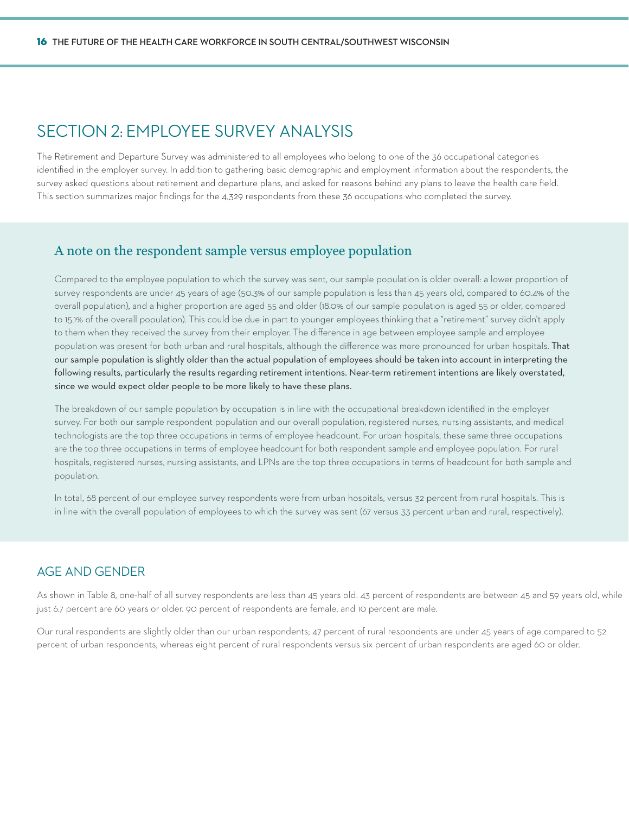## SECTION 2: EMPLOYEE SURVEY ANALYSIS

The Retirement and Departure Survey was administered to all employees who belong to one of the 36 occupational categories identified in the employer survey. In addition to gathering basic demographic and employment information about the respondents, the survey asked questions about retirement and departure plans, and asked for reasons behind any plans to leave the health care field. This section summarizes major findings for the 4,329 respondents from these 36 occupations who completed the survey.

### A note on the respondent sample versus employee population

Compared to the employee population to which the survey was sent, our sample population is older overall: a lower proportion of survey respondents are under 45 years of age (50.3% of our sample population is less than 45 years old, compared to 60.4% of the overall population), and a higher proportion are aged 55 and older (18.0% of our sample population is aged 55 or older, compared to 15.1% of the overall population). This could be due in part to younger employees thinking that a "retirement" survey didn't apply to them when they received the survey from their employer. The difference in age between employee sample and employee population was present for both urban and rural hospitals, although the difference was more pronounced for urban hospitals. That our sample population is slightly older than the actual population of employees should be taken into account in interpreting the following results, particularly the results regarding retirement intentions. Near-term retirement intentions are likely overstated, since we would expect older people to be more likely to have these plans.

The breakdown of our sample population by occupation is in line with the occupational breakdown identified in the employer survey. For both our sample respondent population and our overall population, registered nurses, nursing assistants, and medical technologists are the top three occupations in terms of employee headcount. For urban hospitals, these same three occupations are the top three occupations in terms of employee headcount for both respondent sample and employee population. For rural hospitals, registered nurses, nursing assistants, and LPNs are the top three occupations in terms of headcount for both sample and population.

In total, 68 percent of our employee survey respondents were from urban hospitals, versus 32 percent from rural hospitals. This is in line with the overall population of employees to which the survey was sent (67 versus 33 percent urban and rural, respectively).

### Age and Gender

As shown in Table 8, one-half of all survey respondents are less than 45 years old. 43 percent of respondents are between 45 and 59 years old, while just 6.7 percent are 60 years or older. 90 percent of respondents are female, and 10 percent are male.

Our rural respondents are slightly older than our urban respondents; 47 percent of rural respondents are under 45 years of age compared to 52 percent of urban respondents, whereas eight percent of rural respondents versus six percent of urban respondents are aged 60 or older.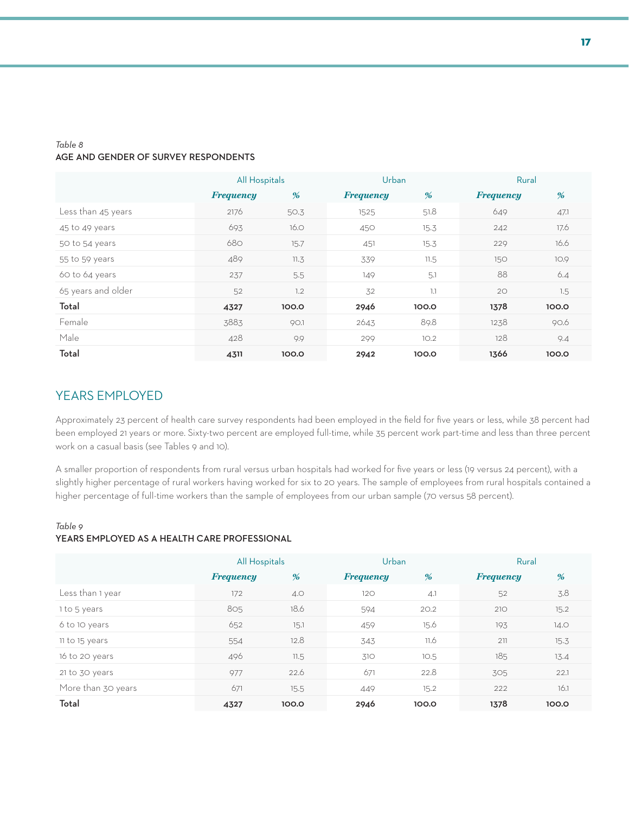#### *Table 8* **age and gender of survey respondents**

|                    | All Hospitals    |       |                  | Urban |                  | Rural |  |
|--------------------|------------------|-------|------------------|-------|------------------|-------|--|
|                    | <b>Frequency</b> | %     | <b>Frequency</b> | %     | <b>Frequency</b> | %     |  |
| Less than 45 years | 2176             | 50.3  | 1525             | 51.8  | 649              | 47.1  |  |
| 45 to 49 years     | 693              | 16.0  | 450              | 15.3  | 242              | 17.6  |  |
| 50 to 54 years     | 680              | 15.7  | 451              | 15.3  | 229              | 16.6  |  |
| 55 to 59 years     | 489              | 11.3  | 339              | 11.5  | 150              | 10.9  |  |
| 60 to 64 years     | 237              | 5.5   | 149              | 5.1   | 88               | 6.4   |  |
| 65 years and older | 52               | 1.2   | 32               | 1.1   | 20               | 1.5   |  |
| Total              | 4327             | 100.0 | 2946             | 100.0 | 1378             | 100.0 |  |
| Female             | 3883             | 90.1  | 2643             | 89.8  | 1238             | 90.6  |  |
| Male               | 428              | 9.9   | 299              | 10.2  | 128              | 9.4   |  |
| Total              | 4311             | 100.0 | 2942             | 100.0 | 1366             | 100.0 |  |

### Years Employed

Approximately 23 percent of health care survey respondents had been employed in the field for five years or less, while 38 percent had been employed 21 years or more. Sixty-two percent are employed full-time, while 35 percent work part-time and less than three percent work on a casual basis (see Tables 9 and 10).

A smaller proportion of respondents from rural versus urban hospitals had worked for five years or less (19 versus 24 percent), with a slightly higher percentage of rural workers having worked for six to 20 years. The sample of employees from rural hospitals contained a higher percentage of full-time workers than the sample of employees from our urban sample (70 versus 58 percent).

### *Table 9* **years employed as a health care professional**

|                    | All Hospitals    |       | Urban            |       | Rural            |       |
|--------------------|------------------|-------|------------------|-------|------------------|-------|
|                    | <b>Frequency</b> | %     | <b>Frequency</b> | %     | <b>Frequency</b> | %     |
| Less than 1 year   | 172              | 4.0   | 120              | 4.1   | 52               | 3.8   |
| 1 to 5 years       | 805              | 18.6  | 594              | 20.2  | 210              | 15.2  |
| 6 to 10 years      | 652              | 15.1  | 459              | 15.6  | 193              | 14.0  |
| 11 to 15 years     | 554              | 12.8  | 343              | 11.6  | 211              | 15.3  |
| 16 to 20 years     | 496              | 11.5  | 310              | 10.5  | 185              | 13.4  |
| 21 to 30 years     | 977              | 22.6  | 671              | 22.8  | 305              | 22.1  |
| More than 30 years | 671              | 15.5  | 449              | 15.2  | 222              | 16.1  |
| Total              | 4327             | 100.0 | 2946             | 100.0 | 1378             | 100.0 |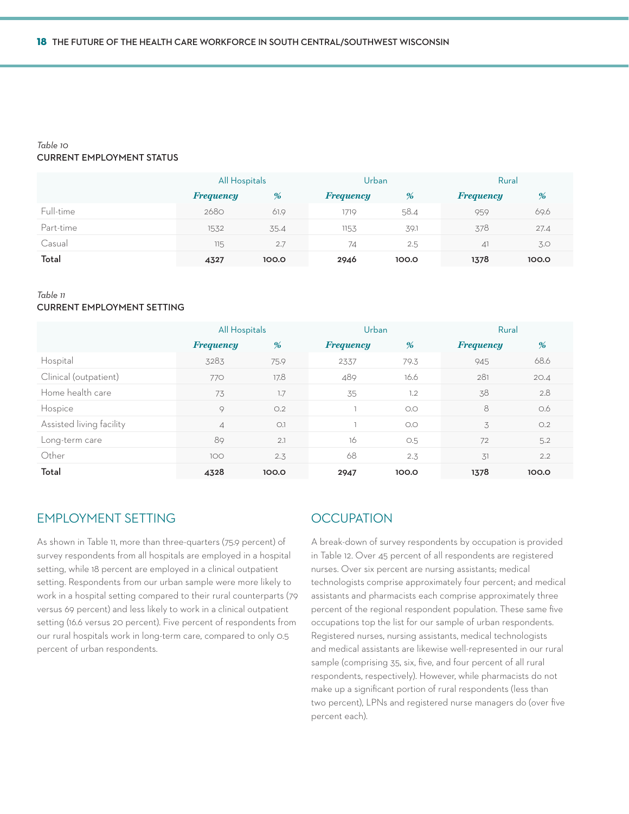### *Table 10* **current employment status**

|           | All Hospitals    |       | Urban            |       | Rural            |       |
|-----------|------------------|-------|------------------|-------|------------------|-------|
|           | <b>Frequency</b> | %     | <b>Frequency</b> | %     | <b>Frequency</b> | %     |
| Full-time | 2680             | 61.9  | 1719             | 58.4  | 959              | 69.6  |
| Part-time | 1532             | 35.4  | 1153             | 39.1  | 378              | 27.4  |
| Casual    | 11.5             | 2.7   | 74               | 2.5   | $\Delta$         | 3.0   |
| Total     | 4327             | 100.0 | 2946             | 100.0 | 1378             | 100.0 |

#### *Table 11* **current employment setting**

|                          | All Hospitals    |       | Urban            |       | Rural            |       |
|--------------------------|------------------|-------|------------------|-------|------------------|-------|
|                          | <b>Frequency</b> | %     | <b>Frequency</b> | %     | <b>Frequency</b> | %     |
| Hospital                 | 3283             | 75.9  | 2337             | 79.3  | 945              | 68.6  |
| Clinical (outpatient)    | 770              | 17.8  | 489              | 16.6  | 281              | 20.4  |
| Home health care         | 73               | 1.7   | 35               | 1.2   | 38               | 2.8   |
| Hospice                  | 9                | O.2   |                  | O.O   | 8                | 0.6   |
| Assisted living facility | $\overline{A}$   | O.1   |                  | O.O   | 3                | O.2   |
| Long-term care           | 89               | 2.1   | 16               | O.5   | 72               | 5.2   |
| Other                    | 100              | 2.3   | 68               | 2.3   | 31               | 2.2   |
| Total                    | 4328             | 100.0 | 2947             | 100.0 | 1378             | 100.0 |

### Employment Setting

As shown in Table 11, more than three-quarters (75.9 percent) of survey respondents from all hospitals are employed in a hospital setting, while 18 percent are employed in a clinical outpatient setting. Respondents from our urban sample were more likely to work in a hospital setting compared to their rural counterparts (79 versus 69 percent) and less likely to work in a clinical outpatient setting (16.6 versus 20 percent). Five percent of respondents from our rural hospitals work in long-term care, compared to only 0.5 percent of urban respondents.

### **OCCUPATION**

A break-down of survey respondents by occupation is provided in Table 12. Over 45 percent of all respondents are registered nurses. Over six percent are nursing assistants; medical technologists comprise approximately four percent; and medical assistants and pharmacists each comprise approximately three percent of the regional respondent population. These same five occupations top the list for our sample of urban respondents. Registered nurses, nursing assistants, medical technologists and medical assistants are likewise well-represented in our rural sample (comprising 35, six, five, and four percent of all rural respondents, respectively). However, while pharmacists do not make up a significant portion of rural respondents (less than two percent), LPNs and registered nurse managers do (over five percent each).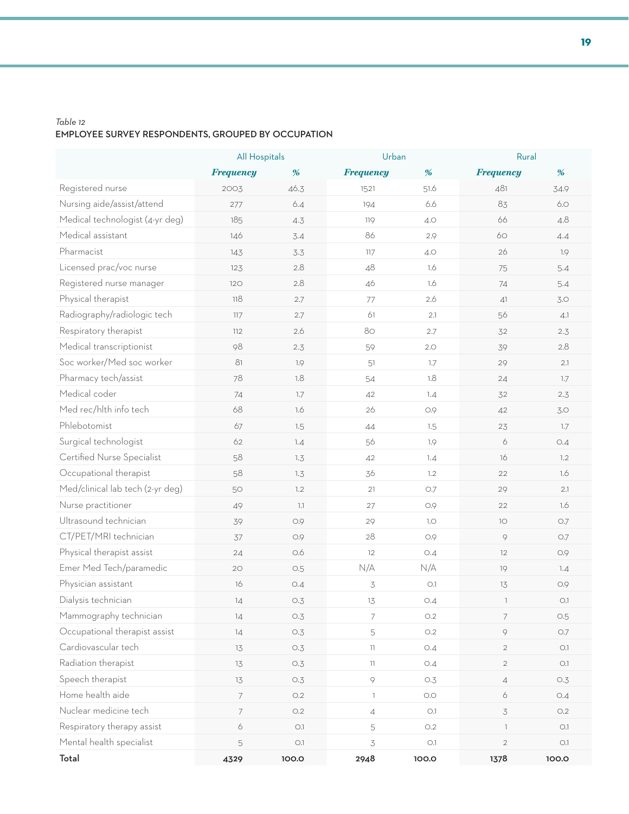### *Table 12* **employee survey respondents, grouped by occupation**

|                                  | All Hospitals    |         | Urban                    |            | Rural                    |               |
|----------------------------------|------------------|---------|--------------------------|------------|--------------------------|---------------|
|                                  | <b>Frequency</b> | %       | <b>Frequency</b>         | %          | <b>Frequency</b>         | %             |
| Registered nurse                 | 2003             | 46.3    | 1521                     | 51.6       | 481                      | 34.9          |
| Nursing aide/assist/attend       | 277              | 6.4     | 194                      | 6.6        | 83                       | 6.0           |
| Medical technologist (4-yr deg)  | 185              | 4.3     | 119                      | 4.O        | 66                       | 4.8           |
| Medical assistant                | 146              | 3.4     | 86                       | 2.9        | 60                       | 4.4           |
| Pharmacist                       | 143              | 3.3     | 117                      | 4.0        | 26                       | 1.9           |
| Licensed prac/voc nurse          | 123              | 2.8     | 48                       | 1.6        | 75                       | 5.4           |
| Registered nurse manager         | 120              | 2.8     | 46                       | 1.6        | 74                       | 5.4           |
| Physical therapist               | 118              | 2.7     | 77                       | 2.6        | 41                       | 3.0           |
| Radiography/radiologic tech      | 117              | 2.7     | 61                       | 2.1        | 56                       | 4.1           |
| Respiratory therapist            | 112              | 2.6     | 80                       | 2.7        | 32                       | 2.3           |
| Medical transcriptionist         | 98               | 2.3     | 59                       | 2.0        | 39                       | 2.8           |
| Soc worker/Med soc worker        | 81               | 1.9     | 51                       | $1.7\,$    | 29                       | 2.1           |
| Pharmacy tech/assist             | 78               | 1.8     | 54                       | 1.8        | 24                       | 1.7           |
| Medical coder                    | 74               | $1.7\,$ | 42                       | 1.4        | 32                       | 2.3           |
| Med rec/hlth info tech           | 68               | 1.6     | 26                       | 0.9        | 42                       | 3.0           |
| Phlebotomist                     | 67               | 1.5     | $44$                     | 1.5        | 23                       | 1.7           |
| Surgical technologist            | 62               | 7.4     | 56                       | 1.9        | 6                        | O.4           |
| Certified Nurse Specialist       | 58               | 1.3     | 42                       | 1.4        | 16                       | 1.2           |
| Occupational therapist           | 58               | 1.3     | 36                       | 1.2        | 22                       | 1.6           |
| Med/clinical lab tech (2-yr deg) | 50               | 1.2     | 21                       | 0.7        | 29                       | 2.1           |
| Nurse practitioner               | 49               | $1.1\,$ | 27                       | 0.9        | 22                       | 1.6           |
| Ultrasound technician            | 39               | 0.9     | 29                       | $1.0\,$    | 10                       | $\bigcirc$ .7 |
| CT/PET/MRI technician            | 37               | 0.9     | 28                       | 0.9        | 9                        | O.7           |
| Physical therapist assist        | 24               | 0.6     | 12                       | O.4        | 12                       | 0.9           |
| Emer Med Tech/paramedic          | 20               | O.5     | N/A                      | N/A        | 19                       | 1.4           |
| Physician assistant              | 16               | O.4     | $\preceq$                | O.1        | 13                       | 0.9           |
| Dialysis technician              | 14               | O.3     | 13                       | O.4        | $\overline{\phantom{a}}$ | O.1           |
| Mammography technician           | 14               | O.3     | 7                        | O.2        | $\overline{\phantom{a}}$ | O.5           |
| Occupational therapist assist    | 14               | O.3     | 5                        | O.2        | 9                        | $\bigcirc$ .7 |
| Cardiovascular tech              | 13               | O.3     | 11                       | O.4        | $\overline{2}$           | O.1           |
| Radiation therapist              | 13               | O.3     | $\overline{11}$          | O.4        | $\overline{2}$           | O.1           |
| Speech therapist                 | 13               | O.3     | 9                        | O.3        | $\overline{4}$           | O.3           |
| Home health aide                 | $\overline{7}$   | O.2     | $\overline{\phantom{a}}$ | $\bigcirc$ | 6                        | O.4           |
| Nuclear medicine tech            | $\overline{7}$   | O.2     | $\overline{4}$           | O.1        | 3                        | O.2           |
| Respiratory therapy assist       | 6                | O.1     | 5                        | O.2        | $\mathbb{R}$             | O.1           |
| Mental health specialist         | 5                | O.1     | 3                        | O.1        | $\overline{2}$           | $\bigcirc$ .1 |
| Total                            | 4329             | 100.0   | 2948                     | 100.0      | 1378                     | 100.0         |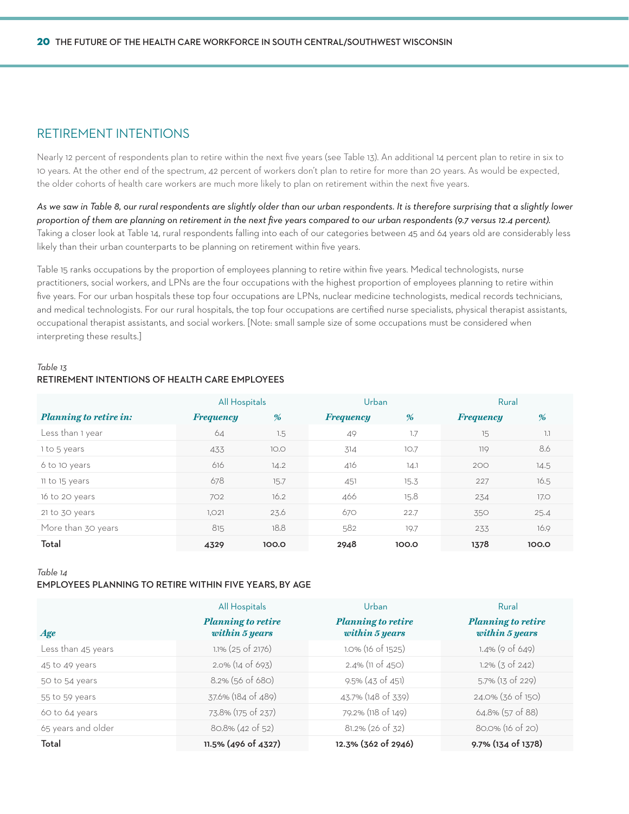### Retirement Intentions

Nearly 12 percent of respondents plan to retire within the next five years (see Table 13). An additional 14 percent plan to retire in six to 10 years. At the other end of the spectrum, 42 percent of workers don't plan to retire for more than 20 years. As would be expected, the older cohorts of health care workers are much more likely to plan on retirement within the next five years.

*As we saw in Table 8, our rural respondents are slightly older than our urban respondents. It is therefore surprising that a slightly lower proportion of them are planning on retirement in the next five years compared to our urban respondents (9.7 versus 12.4 percent).*  Taking a closer look at Table 14, rural respondents falling into each of our categories between 45 and 64 years old are considerably less likely than their urban counterparts to be planning on retirement within five years.

Table 15 ranks occupations by the proportion of employees planning to retire within five years. Medical technologists, nurse practitioners, social workers, and LPNs are the four occupations with the highest proportion of employees planning to retire within five years. For our urban hospitals these top four occupations are LPNs, nuclear medicine technologists, medical records technicians, and medical technologists. For our rural hospitals, the top four occupations are certified nurse specialists, physical therapist assistants, occupational therapist assistants, and social workers. [Note: small sample size of some occupations must be considered when interpreting these results.]

### *Table 13* **retirement intentions of health care employees**

|                               | All Hospitals    |       | Urban            |       | Rural            |             |
|-------------------------------|------------------|-------|------------------|-------|------------------|-------------|
| <b>Planning to retire in:</b> | <b>Frequency</b> | %     | <b>Frequency</b> | %     | <b>Frequency</b> | %           |
| Less than 1 year              | 64               | 1.5   | 49               | 1.7   | 15               | 1.1         |
| 1 to 5 years                  | 433              | 10.0  | 314              | 10.7  | 119              | 8.6         |
| 6 to 10 years                 | 616              | 14.2  | 416              | 14.1  | 200              | 14.5        |
| 11 to 15 years                | 678              | 15.7  | 451              | 15.3  | 227              | 16.5        |
| 16 to 20 years                | 702              | 16.2  | 466              | 15.8  | 234              | <b>17.0</b> |
| 21 to 30 years                | 1,021            | 23.6  | 670              | 22.7  | 350              | 25.4        |
| More than 30 years            | 815              | 18.8  | 582              | 19.7  | 233              | 16.9        |
| Total                         | 4329             | 100.0 | 2948             | 100.0 | 1378             | 100.0       |

*Table 14*

#### **employees planning to retire within five years, by age**

|                    | All Hospitals                               | Urban                                       | Rural                                       |
|--------------------|---------------------------------------------|---------------------------------------------|---------------------------------------------|
| Age                | <b>Planning to retire</b><br>within 5 years | <b>Planning to retire</b><br>within 5 years | <b>Planning to retire</b><br>within 5 years |
| Less than 45 years | 1.1% (25 of 2176)                           | 1.0% (16 of 1525)                           | $1.4\%$ (9 of 649)                          |
| 45 to 49 years     | $2.0\%$ (14 of 693)                         | $2.4\%$ (11 of 450)                         | $1.2\%$ (3 of 242)                          |
| 50 to 54 years     | $8.2\%$ (56 of 680)                         | $9.5\%$ (43 of 451)                         | $5.7\%$ (13 of 229)                         |
| 55 to 59 years     | 37.6% (184 of 489)                          | 43.7% (148 of 339)                          | 24.0% (36 of 150)                           |
| 60 to 64 years     | 73.8% (175 of 237)                          | 79.2% (118 of 149)                          | 64.8% (57 of 88)                            |
| 65 years and older | $80.8\%$ (42 of 52)                         | $81.2\%$ (26 of 32)                         | 80.0% (16 of 20)                            |
| Total              | 11.5% (496 of 4327)                         | 12.3% (362 of 2946)                         | 9.7% (134 of 1378)                          |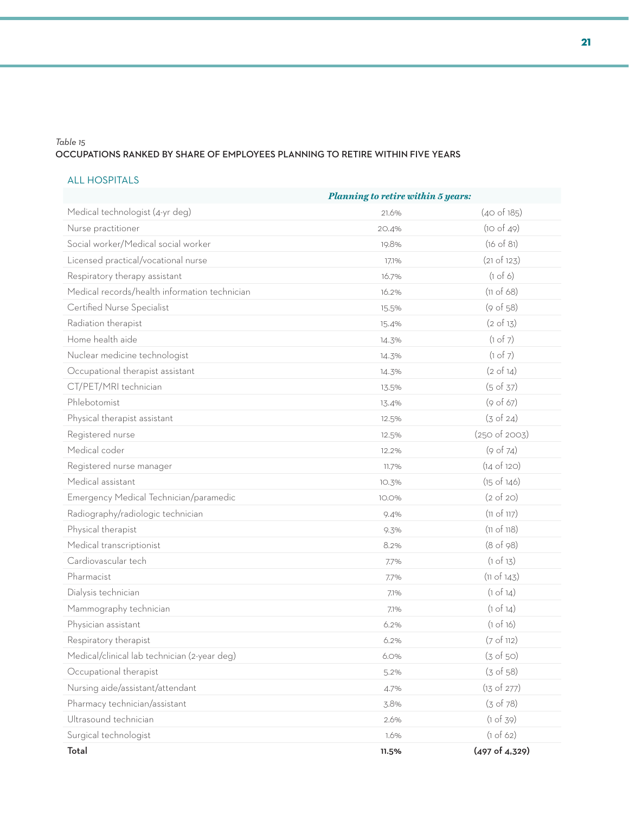### *Table 15* **occupations ranked by share of employees planning to retire within five years**

### ALL HOSPITALS

|                                               | <b>Planning to retire within 5 years:</b> |                        |  |  |
|-----------------------------------------------|-------------------------------------------|------------------------|--|--|
| Medical technologist (4-yr deg)               | 21.6%                                     | (40 of 185)            |  |  |
| Nurse practitioner                            | 20.4%                                     | (10 of 49)             |  |  |
| Social worker/Medical social worker           | 19.8%                                     | (16 of 81)             |  |  |
| Licensed practical/vocational nurse           | 17.1%                                     | (21 of 123)            |  |  |
| Respiratory therapy assistant                 | 16.7%                                     | (1 of 6)               |  |  |
| Medical records/health information technician | 16.2%                                     | (11 of 68)             |  |  |
| Certified Nurse Specialist                    | 15.5%                                     | (9 of 58)              |  |  |
| Radiation therapist                           | 15.4%                                     | $(2 \text{ of } 13)$   |  |  |
| Home health aide                              | 14.3%                                     | (1 of 7)               |  |  |
| Nuclear medicine technologist                 | 14.3%                                     | (1 of 7)               |  |  |
| Occupational therapist assistant              | 14.3%                                     | $(2 \text{ of } 14)$   |  |  |
| CT/PET/MRI technician                         | 13.5%                                     | (5 of 37)              |  |  |
| Phlebotomist                                  | 13.4%                                     | (9 of 67)              |  |  |
| Physical therapist assistant                  | 12.5%                                     | (3 of 24)              |  |  |
| Registered nurse                              | 12.5%                                     | (250 of 2003)          |  |  |
| Medical coder                                 | 12.2%                                     | (9 of 74)              |  |  |
| Registered nurse manager                      | 11.7%                                     | (14 of 120)            |  |  |
| Medical assistant                             | 10.3%                                     | $(15 \text{ of } 146)$ |  |  |
| Emergency Medical Technician/paramedic        | 10.0%                                     | $(2 \text{ of } 20)$   |  |  |
| Radiography/radiologic technician             | 9.4%                                      | (11 of 117)            |  |  |
| Physical therapist                            | 9.3%                                      | (11 of 118)            |  |  |
| Medical transcriptionist                      | 8.2%                                      | (8 of 98)              |  |  |
| Cardiovascular tech                           | 7.7%                                      | (1 of 13)              |  |  |
| Pharmacist                                    | 7.7%                                      | (11 of 143)            |  |  |
| Dialysis technician                           | 7.1%                                      | (1 of 14)              |  |  |
| Mammography technician                        | 7.1%                                      | (1 of 14)              |  |  |
| Physician assistant                           | 6.2%                                      | (1 of 16)              |  |  |
| Respiratory therapist                         | 6.2%                                      | (7 of 112)             |  |  |
| Medical/clinical lab technician (2-year deg)  | 6.0%                                      | (3 of 50)              |  |  |
| Occupational therapist                        | 5.2%                                      | (3 of 58)              |  |  |
| Nursing aide/assistant/attendant              | 4.7%                                      | (13 of 277)            |  |  |
| Pharmacy technician/assistant                 | 3.8%                                      | (3 of 78)              |  |  |
| Ultrasound technician                         | 2.6%                                      | (1 of 39)              |  |  |
| Surgical technologist                         | 1.6%                                      | (1 of 62)              |  |  |
| Total                                         | 11.5%                                     | (497 of 4,329)         |  |  |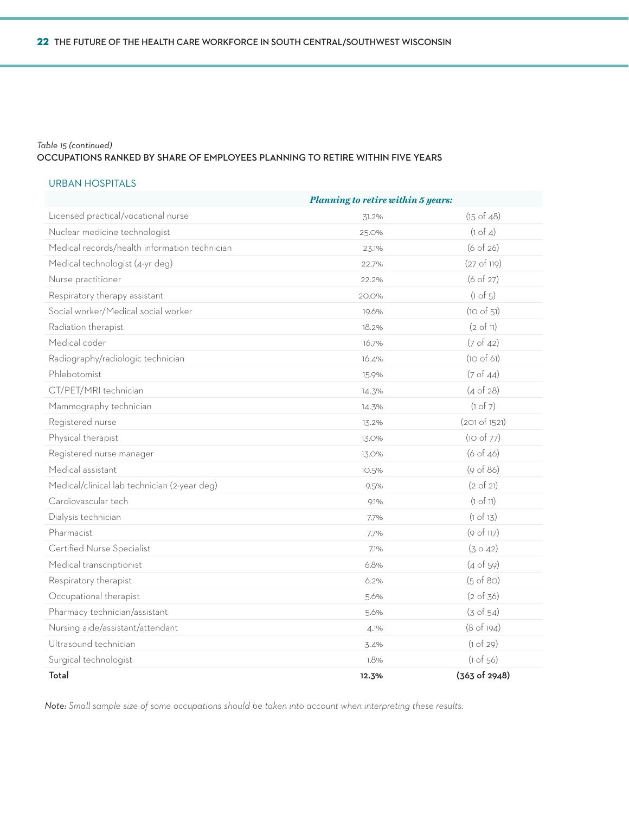### *Table 15 (continued)*

#### **occupations ranked by share of employees planning to retire within five years**

### URBAN HOSPITALS

|                                               | <b>Planning to retire within 5 years:</b> |                      |
|-----------------------------------------------|-------------------------------------------|----------------------|
| Licensed practical/vocational nurse           | 31.2%                                     | $(15$ of $48)$       |
| Nuclear medicine technologist                 | 25.0%                                     | $(1 \circ f 4)$      |
| Medical records/health information technician | 23.1%                                     | (6 of 26)            |
| Medical technologist (4-yr deg)               | 22.7%                                     | (27 of 119)          |
| Nurse practitioner                            | 22.2%                                     | (6 of 27)            |
| Respiratory therapy assistant                 | 20.0%                                     | $(1 \text{ of } 5)$  |
| Social worker/Medical social worker           | 19.6%                                     | (10 of 51)           |
| Radiation therapist                           | 18.2%                                     | (2 of 11)            |
| Medical coder                                 | 16.7%                                     | $(7 \text{ of } 42)$ |
| Radiography/radiologic technician             | 16.4%                                     | (10 of 61)           |
| Phlebotomist                                  | 15.9%                                     | (7 of 44)            |
| CT/PET/MRI technician                         | 14.3%                                     | (4 of 28)            |
| Mammography technician                        | 14.3%                                     | (1 of 7)             |
| Registered nurse                              | 13.2%                                     | (201 of 1521)        |
| Physical therapist                            | 13.0%                                     | (10 of 77)           |
| Registered nurse manager                      | 13.0%                                     | (6 of 46)            |
| Medical assistant                             | 10.5%                                     | (9 of 86)            |
| Medical/clinical lab technician (2-year deg)  | 9.5%                                      | (2 of 21)            |
| Cardiovascular tech                           | 9.1%                                      | (1 of 11)            |
| Dialysis technician                           | 7.7%                                      | (1 of 13)            |
| Pharmacist                                    | 7.7%                                      | (9 of 117)           |
| Certified Nurse Specialist                    | 7.1%                                      | (3042)               |
| Medical transcriptionist                      | 6.8%                                      | (4 of 59)            |
| Respiratory therapist                         | 6.2%                                      | $(5 \text{ of } 80)$ |
| Occupational therapist                        | 5.6%                                      | (2 of 36)            |
| Pharmacy technician/assistant                 | 5.6%                                      | $(3 \text{ of } 54)$ |
| Nursing aide/assistant/attendant              | 4.1%                                      | (8 of 194)           |
| Ultrasound technician                         | 3.4%                                      | (1 of 29)            |
| Surgical technologist                         | 1.8%                                      | (1 of 56)            |
| Total                                         | 12.3%                                     | (363 of 2948)        |

*Note: Small sample size of some occupations should be taken into account when interpreting these results.*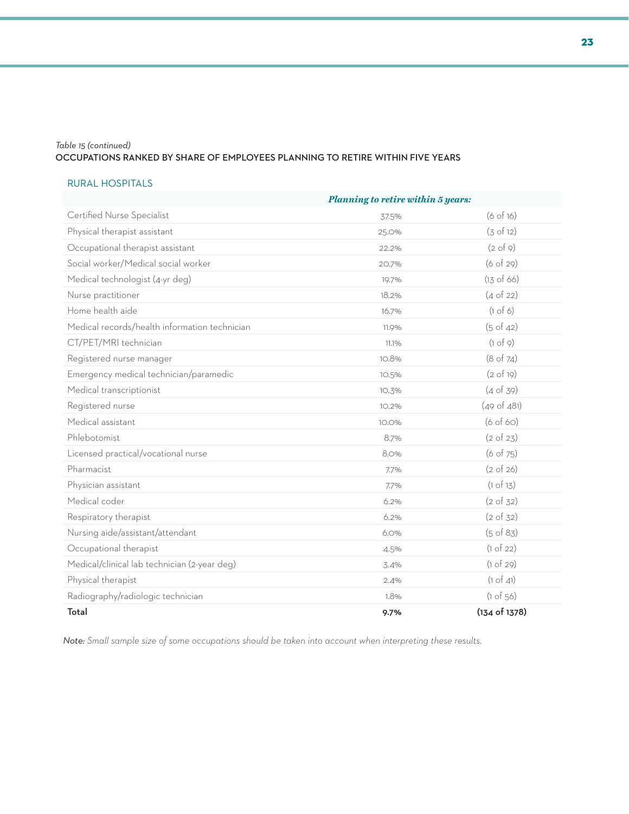### *Table 15 (continued)*

### **occupations ranked by share of employees planning to retire within five years**

#### RURAL HOSPITALS

|                                               | <b>Planning to retire within 5 years:</b> |                      |  |
|-----------------------------------------------|-------------------------------------------|----------------------|--|
| Certified Nurse Specialist                    | 37.5%                                     | (6 of 16)            |  |
| Physical therapist assistant                  | 25.0%                                     | (3 of 12)            |  |
| Occupational therapist assistant              | 22.2%                                     | $(2 \text{ of } 9)$  |  |
| Social worker/Medical social worker           | 20.7%                                     | (6 of 29)            |  |
| Medical technologist (4-yr deg)               | 19.7%                                     | $(13$ of 66)         |  |
| Nurse practitioner                            | 18.2%                                     | $(4 \text{ of } 22)$ |  |
| Home health aide                              | 16.7%                                     | (1 of 6)             |  |
| Medical records/health information technician | 11.9%                                     | (5 of 42)            |  |
| CT/PET/MRI technician                         | 11.1%                                     | (1 of 9)             |  |
| Registered nurse manager                      | 10.8%                                     | (8 of 74)            |  |
| Emergency medical technician/paramedic        | 10.5%                                     | $(2 \text{ of } 19)$ |  |
| Medical transcriptionist                      | 10.3%                                     | (4 of 39)            |  |
| Registered nurse                              | 10.2%                                     | (49 of 481)          |  |
| Medical assistant                             | 10.0%                                     | (6 of 60)            |  |
| Phlebotomist                                  | 8.7%                                      | $(2 \text{ of } 23)$ |  |
| Licensed practical/vocational nurse           | 8.0%                                      | (6 of 75)            |  |
| Pharmacist                                    | 7.7%                                      | $(2 \text{ of } 26)$ |  |
| Physician assistant                           | 7.7%                                      | (1 of 13)            |  |
| Medical coder                                 | 6.2%                                      | (2 of 32)            |  |
| Respiratory therapist                         | 6.2%                                      | $(2 \text{ of } 32)$ |  |
| Nursing aide/assistant/attendant              | 6.0%                                      | $(5 \text{ of } 83)$ |  |
| Occupational therapist                        | 4.5%                                      | (1 of 22)            |  |
| Medical/clinical lab technician (2-year deg)  | 3.4%                                      | (1 of 29)            |  |
| Physical therapist                            | 2.4%                                      | (1 of 41)            |  |
| Radiography/radiologic technician             | 1.8%                                      | (1 of 56)            |  |
| Total                                         | 9.7%                                      | (134 of 1378)        |  |

*Note: Small sample size of some occupations should be taken into account when interpreting these results.*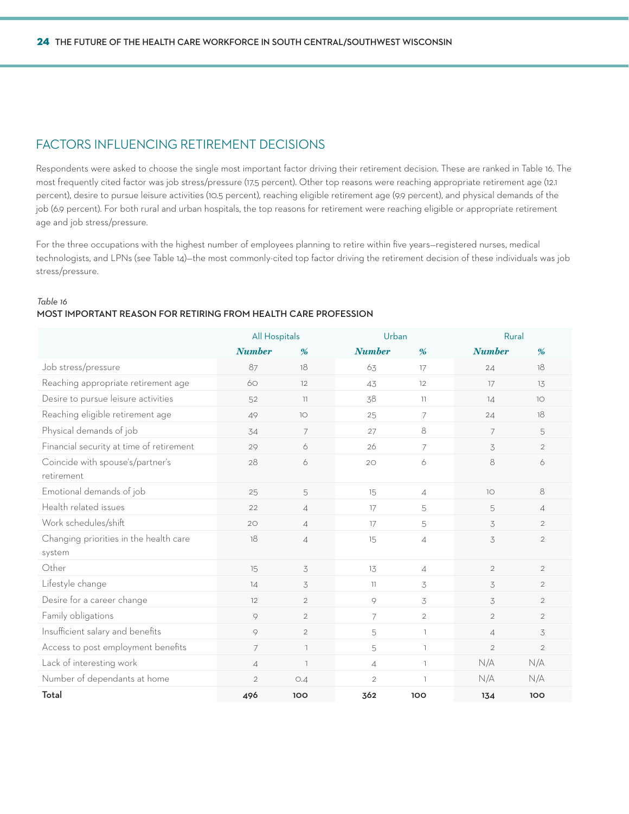### Factors Influencing Retirement Decisions

Respondents were asked to choose the single most important factor driving their retirement decision. These are ranked in Table 16. The most frequently cited factor was job stress/pressure (17.5 percent). Other top reasons were reaching appropriate retirement age (12.1 percent), desire to pursue leisure activities (10.5 percent), reaching eligible retirement age (9.9 percent), and physical demands of the job (6.9 percent). For both rural and urban hospitals, the top reasons for retirement were reaching eligible or appropriate retirement age and job stress/pressure.

For the three occupations with the highest number of employees planning to retire within five years—registered nurses, medical technologists, and LPNs (see Table 14)—the most commonly-cited top factor driving the retirement decision of these individuals was job stress/pressure.

#### *Table 16*

### **most important reason for retiring from health care profession**

|                                                  | All Hospitals |                | Urban          |                | Rural           |                |
|--------------------------------------------------|---------------|----------------|----------------|----------------|-----------------|----------------|
|                                                  | <b>Number</b> | %              | <b>Number</b>  | %              | <b>Number</b>   | %              |
| Job stress/pressure                              | 87            | 18             | 63             | 17             | 24              | 18             |
| Reaching appropriate retirement age              | 60            | 12             | 43             | 12             | 17              | 13             |
| Desire to pursue leisure activities              | 52            | $\overline{1}$ | 38             | $\overline{1}$ | 14              | 10             |
| Reaching eligible retirement age                 | 49            | 10             | 25             | $\overline{7}$ | 24              | 18             |
| Physical demands of job                          | 34            | $\overline{7}$ | 27             | 8              | $\overline{7}$  | 5              |
| Financial security at time of retirement         | 29            | 6              | 26             | $\overline{7}$ | 3               | $\overline{2}$ |
| Coincide with spouse's/partner's<br>retirement   | 28            | 6              | 20             | 6              | 8               | 6              |
| Emotional demands of job                         | 25            | 5              | 15             | $\overline{4}$ | 10 <sup>°</sup> | 8              |
| Health related issues                            | 22            | $\overline{A}$ | 17             | 5              | 5               | $\overline{4}$ |
| Work schedules/shift                             | 20            | $\overline{A}$ | 17             | 5              | 3               | $\overline{2}$ |
| Changing priorities in the health care<br>system | 18            | $\overline{4}$ | 15             | $\overline{4}$ | 3               | $\overline{2}$ |
| Other                                            | 15            | 3              | 13             | $\overline{4}$ | $\overline{2}$  | $\overline{2}$ |
| Lifestyle change                                 | 14            | 3              | 11             | 3              | 3               | $\overline{2}$ |
| Desire for a career change                       | 12            | $\overline{2}$ | 9              | 3              | 3               | $\overline{2}$ |
| Family obligations                               | $\circ$       | $\overline{2}$ | $\overline{7}$ | $\overline{2}$ | $\overline{2}$  | $\overline{2}$ |
| Insufficient salary and benefits                 | 9             | $\overline{2}$ | 5              | $\mathbb{L}$   | $\overline{A}$  | 3              |
| Access to post employment benefits               | 7             | $\overline{1}$ | 5              | $\mathbb{L}$   | $\overline{2}$  | $\overline{2}$ |
| Lack of interesting work                         | $\sqrt{4}$    | $\overline{1}$ | $\overline{4}$ | $\mathbb{L}$   | N/A             | N/A            |
| Number of dependants at home                     | $\mathbf{2}$  | O.4            | $\overline{2}$ | $\mathbb{R}$   | N/A             | N/A            |
| Total                                            | 496           | 100            | 362            | 100            | 134             | 100            |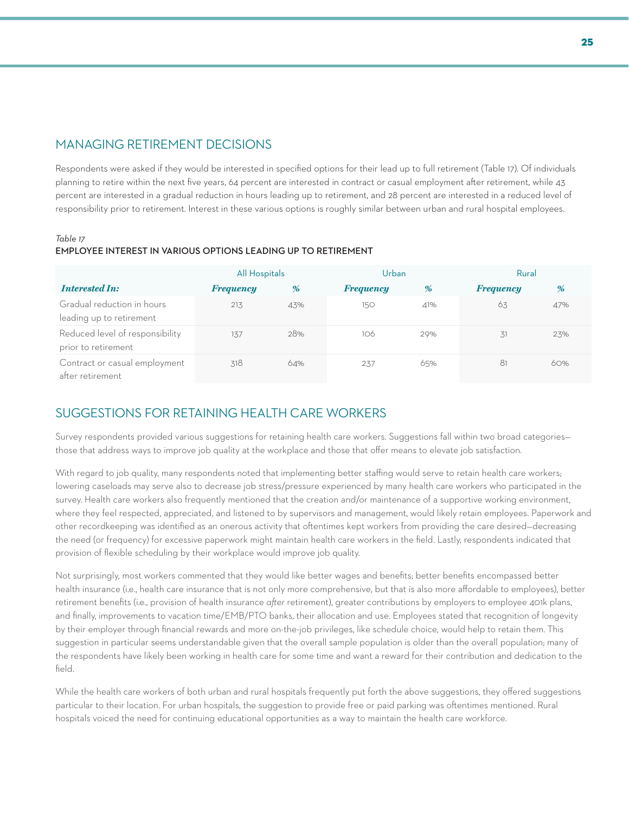### Managing Retirement Decisions

Respondents were asked if they would be interested in specified options for their lead up to full retirement (Table 17). Of individuals planning to retire within the next five years, 64 percent are interested in contract or casual employment after retirement, while 43 percent are interested in a gradual reduction in hours leading up to retirement, and 28 percent are interested in a reduced level of responsibility prior to retirement. Interest in these various options is roughly similar between urban and rural hospital employees.

#### *Table 17*

### **employee interest in various options leading up to retirement**

|                                                        | All Hospitals    |     | Urban            |     | Rural            |     |
|--------------------------------------------------------|------------------|-----|------------------|-----|------------------|-----|
| <b>Interested In:</b>                                  | <b>Frequency</b> | %   | <b>Frequency</b> | %   | <b>Frequency</b> | %   |
| Gradual reduction in hours<br>leading up to retirement | 213              | 43% | 150              | 41% | 63               | 47% |
| Reduced level of responsibility<br>prior to retirement | 137              | 28% | 106              | 29% | 31               | 23% |
| Contract or casual employment<br>after retirement      | 318              | 64% | 237              | 65% | 81               | 60% |

### Suggestions for Retaining Health care Workers

Survey respondents provided various suggestions for retaining health care workers. Suggestions fall within two broad categories those that address ways to improve job quality at the workplace and those that offer means to elevate job satisfaction.

With regard to job quality, many respondents noted that implementing better staffing would serve to retain health care workers; lowering caseloads may serve also to decrease job stress/pressure experienced by many health care workers who participated in the survey. Health care workers also frequently mentioned that the creation and/or maintenance of a supportive working environment, where they feel respected, appreciated, and listened to by supervisors and management, would likely retain employees. Paperwork and other recordkeeping was identified as an onerous activity that oftentimes kept workers from providing the care desired—decreasing the need (or frequency) for excessive paperwork might maintain health care workers in the field. Lastly, respondents indicated that provision of flexible scheduling by their workplace would improve job quality.

Not surprisingly, most workers commented that they would like better wages and benefits; better benefits encompassed better health insurance (i.e., health care insurance that is not only more comprehensive, but that is also more affordable to employees), better retirement benefits (i.e., provision of health insurance *after* retirement), greater contributions by employers to employee 401k plans, and finally, improvements to vacation time/EMB/PTO banks, their allocation and use. Employees stated that recognition of longevity by their employer through financial rewards and more on-the-job privileges, like schedule choice, would help to retain them. This suggestion in particular seems understandable given that the overall sample population is older than the overall population; many of the respondents have likely been working in health care for some time and want a reward for their contribution and dedication to the field.

While the health care workers of both urban and rural hospitals frequently put forth the above suggestions, they offered suggestions particular to their location. For urban hospitals, the suggestion to provide free or paid parking was oftentimes mentioned. Rural hospitals voiced the need for continuing educational opportunities as a way to maintain the health care workforce.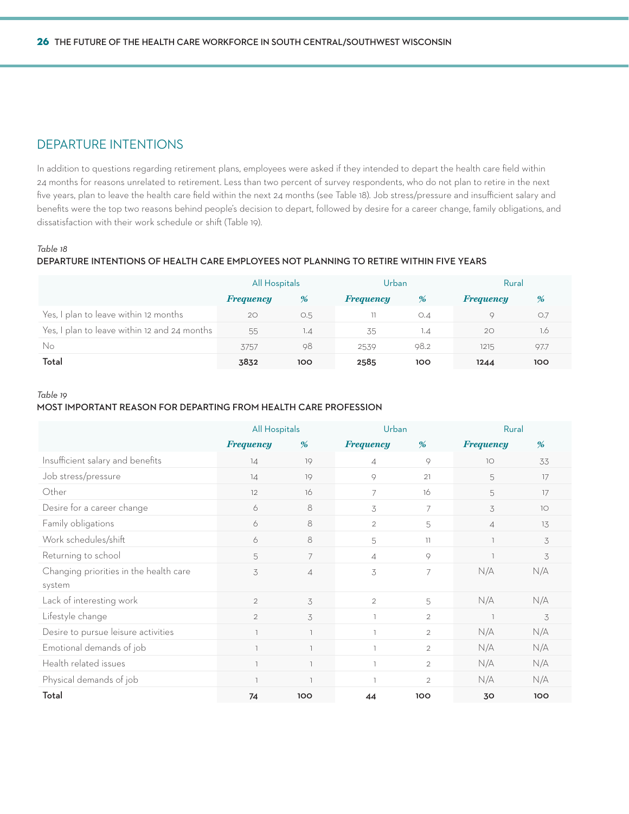### Departure Intentions

In addition to questions regarding retirement plans, employees were asked if they intended to depart the health care field within 24 months for reasons unrelated to retirement. Less than two percent of survey respondents, who do not plan to retire in the next five years, plan to leave the health care field within the next 24 months (see Table 18). Job stress/pressure and insufficient salary and benefits were the top two reasons behind people's decision to depart, followed by desire for a career change, family obligations, and dissatisfaction with their work schedule or shift (Table 19).

### *Table 18*

### **departure intentions of health care employees not planning to retire within five years**

|                                              | All Hospitals    |     | Urban            |      | Rural            |      |
|----------------------------------------------|------------------|-----|------------------|------|------------------|------|
|                                              | <b>Frequency</b> | %   | <b>Frequency</b> | %    | <b>Frequency</b> | %    |
| Yes, I plan to leave within 12 months        | 20               | O.5 |                  | O.4  | $\circ$          | O.7  |
| Yes, I plan to leave within 12 and 24 months | 55               | 1.4 | 35               | 1.4  | 20               | 1.6  |
| No                                           | 3757             | 98  | 2539             | 98.2 | 1215             | 97.7 |
| Total                                        | 3832             | 100 | 2585             | 100  | 1244             | 100  |

#### *Table 19*

#### **most important reason for departing from health care profession**

|                                        | <b>All Hospitals</b>     |                          | Urban                    |                                  | Rural            |     |
|----------------------------------------|--------------------------|--------------------------|--------------------------|----------------------------------|------------------|-----|
|                                        | <b>Frequency</b>         | %                        | <b>Frequency</b>         | %                                | <b>Frequency</b> | %   |
| Insufficient salary and benefits       | 14                       | 19                       | $\overline{\mathcal{A}}$ | 9                                | 10               | 33  |
| Job stress/pressure                    | 14                       | 19                       | 9                        | 21                               | 5                | 17  |
| Other                                  | 12                       | 16                       | 7                        | 16                               | 5                | 17  |
| Desire for a career change             | 6                        | 8                        | 3                        | 7                                | 3                | 10  |
| Family obligations                     | 6                        | 8                        | $\overline{2}$           | 5                                | $\overline{4}$   | 13  |
| Work schedules/shift                   | 6                        | 8                        | 5                        | $\left\lceil \cdot \right\rceil$ |                  | 3   |
| Returning to school                    | 5                        | 7                        | $\overline{A}$           | 9                                |                  | 3   |
| Changing priorities in the health care | 3                        | $\overline{4}$           | 3                        | $\overline{7}$                   | N/A              | N/A |
| system                                 |                          |                          |                          |                                  |                  |     |
| Lack of interesting work               | $\overline{2}$           | 3                        | $\overline{2}$           | 5                                | N/A              | N/A |
| Lifestyle change                       | $\overline{2}$           | 3                        | ı                        | $\overline{2}$                   |                  | 3   |
| Desire to pursue leisure activities    | $\overline{1}$           | $\overline{1}$           |                          | $\overline{2}$                   | N/A              | N/A |
| Emotional demands of job               | $\overline{\phantom{a}}$ | $\overline{\phantom{a}}$ |                          | $\overline{2}$                   | N/A              | N/A |
| Health related issues                  | $\overline{\phantom{a}}$ | $\overline{\phantom{a}}$ |                          | $\overline{2}$                   | N/A              | N/A |
| Physical demands of job                | $\overline{1}$           | $\overline{1}$           |                          | $\mathfrak{D}$                   | N/A              | N/A |
| Total                                  | 74                       | 100                      | 44                       | 100                              | 30               | 100 |